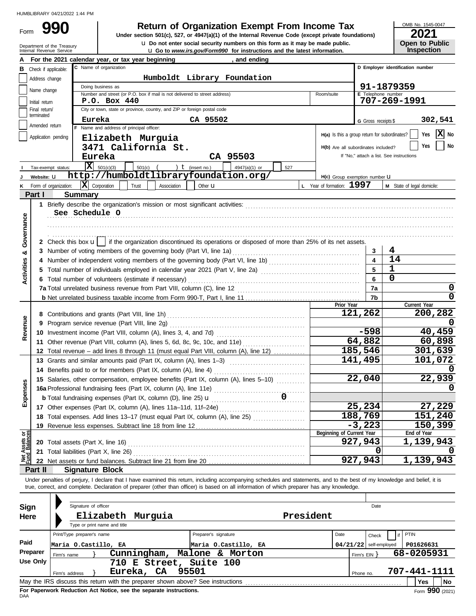Form

Department of the Treasury<br>Internal Revenue Service

# **990 2020 2021 Return of Organization Exempt From Income Tax**

**u** Go to *www.irs.gov/Form990* for instructions and the latest information. **u** Do not enter social security numbers on this form as it may be made public. **Under section 501(c), 527, or 4947(a)(1) of the Internal Revenue Code (except private foundations)** OMB No. 1545-0047

| ZUZT                  |  |
|-----------------------|--|
| <b>Open to Public</b> |  |
| <b>Inspection</b>     |  |

|                                |                                 |                                                                                  | For the 2021 calendar year, or tax year beginning                                                                                                                                    |                         |                    |                      | and ending                  |           |                                     |                       |                          |                                               |              |              |
|--------------------------------|---------------------------------|----------------------------------------------------------------------------------|--------------------------------------------------------------------------------------------------------------------------------------------------------------------------------------|-------------------------|--------------------|----------------------|-----------------------------|-----------|-------------------------------------|-----------------------|--------------------------|-----------------------------------------------|--------------|--------------|
|                                |                                 | Check if applicable:                                                             | C Name of organization                                                                                                                                                               |                         |                    |                      |                             |           |                                     |                       |                          | D Employer identification number              |              |              |
|                                | Address change                  |                                                                                  |                                                                                                                                                                                      |                         |                    |                      | Humboldt Library Foundation |           |                                     |                       |                          |                                               |              |              |
|                                | Name change                     |                                                                                  | Doing business as                                                                                                                                                                    |                         |                    |                      |                             |           |                                     |                       |                          | 91-1879359                                    |              |              |
|                                |                                 |                                                                                  | Number and street (or P.O. box if mail is not delivered to street address)<br>P.O. Box 440                                                                                           |                         |                    |                      |                             |           | Room/suite                          |                       | E Telephone number       | 707-269-1991                                  |              |              |
|                                | Initial return<br>Final return/ |                                                                                  | City or town, state or province, country, and ZIP or foreign postal code                                                                                                             |                         |                    |                      |                             |           |                                     |                       |                          |                                               |              |              |
|                                | terminated                      |                                                                                  |                                                                                                                                                                                      |                         |                    |                      |                             |           |                                     |                       |                          |                                               |              |              |
|                                | Amended return                  |                                                                                  | Eureka<br>F Name and address of principal officer:                                                                                                                                   |                         |                    | CA 95502             |                             |           |                                     |                       | G Gross receipts \$      |                                               |              | 302,541      |
|                                |                                 | Application pending                                                              |                                                                                                                                                                                      |                         |                    |                      |                             |           |                                     |                       |                          | H(a) Is this a group return for subordinates? | Yes          | X No         |
|                                |                                 |                                                                                  | Elizabeth Murguia<br>3471 California St.                                                                                                                                             |                         |                    |                      |                             |           | H(b) Are all subordinates included? |                       |                          |                                               | Yes          | No           |
|                                |                                 |                                                                                  |                                                                                                                                                                                      |                         |                    |                      |                             |           |                                     |                       |                          | If "No," attach a list. See instructions      |              |              |
|                                |                                 |                                                                                  | Eureka                                                                                                                                                                               |                         |                    |                      | CA 95503                    |           |                                     |                       |                          |                                               |              |              |
|                                |                                 | Tax-exempt status:                                                               | $\overline{\mathbf{X}}$ 501(c)(3)                                                                                                                                                    | $501(c)$ (              | ) $t$ (insert no.) |                      | 4947(a)(1) or               | 527       |                                     |                       |                          |                                               |              |              |
|                                | Website: U                      |                                                                                  | http://humboldtlibraryfoundation.org/                                                                                                                                                |                         |                    |                      |                             |           | H(c) Group exemption number LI      |                       |                          |                                               |              |              |
| κ                              |                                 | Form of organization:                                                            | $ \mathbf{X} $ Corporation                                                                                                                                                           | Trust                   | Association        | Other $\mathbf u$    |                             |           | L Year of formation: 1997           |                       |                          | M State of legal domicile:                    |              |              |
|                                | Part I                          |                                                                                  | <b>Summary</b>                                                                                                                                                                       |                         |                    |                      |                             |           |                                     |                       |                          |                                               |              |              |
|                                |                                 |                                                                                  |                                                                                                                                                                                      |                         |                    |                      |                             |           |                                     |                       |                          |                                               |              |              |
|                                |                                 |                                                                                  | See Schedule O                                                                                                                                                                       |                         |                    |                      |                             |           |                                     |                       |                          |                                               |              |              |
|                                |                                 |                                                                                  |                                                                                                                                                                                      |                         |                    |                      |                             |           |                                     |                       |                          |                                               |              |              |
| Governance                     |                                 |                                                                                  |                                                                                                                                                                                      |                         |                    |                      |                             |           |                                     |                       |                          |                                               |              |              |
|                                |                                 |                                                                                  | 2 Check this box $\mathbf{u}$   if the organization discontinued its operations or disposed of more than 25% of its net assets.                                                      |                         |                    |                      |                             |           |                                     |                       |                          |                                               |              |              |
| ಯ                              |                                 |                                                                                  |                                                                                                                                                                                      |                         |                    |                      |                             |           |                                     |                       | 3                        | 4                                             |              |              |
|                                |                                 |                                                                                  |                                                                                                                                                                                      |                         |                    |                      |                             |           |                                     |                       | $\overline{\mathbf{4}}$  | 14                                            |              |              |
| <b>Activities</b>              |                                 |                                                                                  | 5 Total number of individuals employed in calendar year 2021 (Part V, line 2a) [11] [11] [11] [11] [11] Total number of individuals employed in calendar year 2021 (Part V, line 2a) |                         |                    |                      |                             |           |                                     |                       | 5                        | $\mathbf{1}$                                  |              |              |
|                                |                                 |                                                                                  | 6 Total number of volunteers (estimate if necessary)                                                                                                                                 |                         |                    |                      |                             |           |                                     |                       | 6                        | 0                                             |              |              |
|                                |                                 |                                                                                  |                                                                                                                                                                                      |                         |                    |                      |                             |           |                                     |                       | 7a                       |                                               |              | 0            |
|                                |                                 |                                                                                  |                                                                                                                                                                                      |                         |                    |                      |                             |           |                                     |                       | 7b                       |                                               |              | $\mathbf{0}$ |
|                                |                                 |                                                                                  |                                                                                                                                                                                      |                         |                    |                      |                             |           |                                     | Prior Year<br>121,262 |                          |                                               | Current Year | 200,282      |
|                                |                                 |                                                                                  |                                                                                                                                                                                      |                         |                    |                      |                             |           |                                     |                       |                          |                                               |              |              |
| Revenue                        |                                 | 9<br>11 Other revenue (Part VIII, column (A), lines 5, 6d, 8c, 9c, 10c, and 11e) |                                                                                                                                                                                      |                         |                    |                      |                             |           |                                     |                       |                          |                                               |              | 40,459       |
|                                |                                 |                                                                                  |                                                                                                                                                                                      |                         |                    |                      |                             |           |                                     |                       |                          |                                               |              | 60,898       |
|                                |                                 |                                                                                  |                                                                                                                                                                                      |                         |                    |                      |                             |           |                                     | 185,546               | 64,882                   |                                               |              | 301,639      |
|                                |                                 |                                                                                  | 12 Total revenue - add lines 8 through 11 (must equal Part VIII, column (A), line 12)                                                                                                |                         |                    |                      |                             |           |                                     | 141,495               |                          |                                               |              | 101,072      |
|                                |                                 |                                                                                  | 13 Grants and similar amounts paid (Part IX, column (A), lines 1-3)                                                                                                                  |                         |                    |                      |                             |           |                                     |                       |                          |                                               |              |              |
|                                |                                 |                                                                                  |                                                                                                                                                                                      |                         |                    |                      |                             |           |                                     |                       | 22,040                   |                                               |              | 22,939       |
|                                |                                 |                                                                                  | 15 Salaries, other compensation, employee benefits (Part IX, column (A), lines 5-10)                                                                                                 |                         |                    |                      |                             |           |                                     |                       |                          |                                               |              |              |
| xpenses                        |                                 |                                                                                  |                                                                                                                                                                                      |                         |                    |                      |                             |           |                                     |                       |                          |                                               |              |              |
|                                |                                 |                                                                                  | 17 Other expenses (Part IX, column (A), lines 11a-11d, 11f-24e)                                                                                                                      |                         |                    |                      |                             | .         |                                     |                       | 25,234                   |                                               |              | 27,229       |
|                                |                                 |                                                                                  | 18 Total expenses. Add lines 13-17 (must equal Part IX, column (A), line 25) [                                                                                                       |                         |                    |                      |                             |           |                                     | 188,769               |                          |                                               |              | 151,240      |
|                                |                                 |                                                                                  | 19 Revenue less expenses. Subtract line 18 from line 12                                                                                                                              |                         |                    |                      |                             |           |                                     |                       | $-3,223$                 |                                               |              | 150,399      |
|                                |                                 |                                                                                  |                                                                                                                                                                                      |                         |                    |                      |                             |           | Beginning of Current Year           |                       |                          |                                               | End of Year  |              |
| Net Assets or<br>Fund Balances |                                 |                                                                                  |                                                                                                                                                                                      |                         |                    |                      |                             |           |                                     | 927,943               |                          |                                               | 1,139,943    |              |
|                                |                                 |                                                                                  | 21 Total liabilities (Part X, line 26)                                                                                                                                               |                         |                    |                      |                             |           |                                     |                       | O                        |                                               |              |              |
|                                |                                 |                                                                                  | 22 Net assets or fund balances. Subtract line 21 from line 20                                                                                                                        |                         |                    |                      |                             |           |                                     | 927,943               |                          |                                               | 1,139,943    |              |
|                                | Part II                         |                                                                                  | <b>Signature Block</b>                                                                                                                                                               |                         |                    |                      |                             |           |                                     |                       |                          |                                               |              |              |
|                                |                                 |                                                                                  | Under penalties of perjury, I declare that I have examined this return, including accompanying schedules and statements, and to the best of my knowledge and belief, it is           |                         |                    |                      |                             |           |                                     |                       |                          |                                               |              |              |
|                                |                                 |                                                                                  | true, correct, and complete. Declaration of preparer (other than officer) is based on all information of which preparer has any knowledge.                                           |                         |                    |                      |                             |           |                                     |                       |                          |                                               |              |              |
|                                |                                 |                                                                                  |                                                                                                                                                                                      |                         |                    |                      |                             |           |                                     |                       |                          |                                               |              |              |
| <b>Sign</b>                    |                                 |                                                                                  | Signature of officer                                                                                                                                                                 |                         |                    |                      |                             |           |                                     |                       | Date                     |                                               |              |              |
| Here                           |                                 |                                                                                  | Elizabeth Murguia                                                                                                                                                                    |                         |                    |                      |                             | President |                                     |                       |                          |                                               |              |              |
|                                |                                 |                                                                                  | Type or print name and title                                                                                                                                                         |                         |                    |                      |                             |           |                                     |                       |                          |                                               |              |              |
|                                |                                 |                                                                                  | Print/Type preparer's name                                                                                                                                                           |                         |                    | Preparer's signature |                             |           | Date                                |                       | Check                    | PTIN<br>if                                    |              |              |
| Paid                           |                                 |                                                                                  | Maria O.Castillo, EA                                                                                                                                                                 |                         |                    |                      | Maria O.Castillo, EA        |           |                                     |                       | $04/21/22$ self-employed |                                               | P01626631    |              |
|                                | Preparer                        | Firm's name                                                                      |                                                                                                                                                                                      | Cunningham,             |                    |                      | Malone & Morton             |           |                                     |                       | Firm's $EIN$ }           |                                               | 68-0205931   |              |
|                                | <b>Use Only</b>                 |                                                                                  |                                                                                                                                                                                      | 710 E Street, Suite 100 |                    |                      |                             |           |                                     |                       |                          |                                               |              |              |
|                                |                                 | Firm's address                                                                   |                                                                                                                                                                                      | Eureka, CA              | 95501              |                      |                             |           |                                     | Phone no.             |                          | 707-441-1111                                  |              |              |
|                                |                                 |                                                                                  | May the IRS discuss this return with the preparer shown above? See instructions [11] [11] May the IRS discuss this return with the preparer shown above? See instructions            |                         |                    |                      |                             |           |                                     |                       |                          |                                               | Yes          | No           |

| Sign     | Signature of officer |                            |                              |                                                                    |  |                                                                                 |           |                          |                   | Date  |  |                                   |    |  |
|----------|----------------------|----------------------------|------------------------------|--------------------------------------------------------------------|--|---------------------------------------------------------------------------------|-----------|--------------------------|-------------------|-------|--|-----------------------------------|----|--|
| Here     |                      | Elizabeth                  |                              | Murquia                                                            |  |                                                                                 | President |                          |                   |       |  |                                   |    |  |
|          |                      |                            | Type or print name and title |                                                                    |  |                                                                                 |           |                          |                   |       |  |                                   |    |  |
|          |                      | Print/Type preparer's name |                              |                                                                    |  | Preparer's signature                                                            |           | Date                     |                   | Check |  | PTIN                              |    |  |
| Paid     | Maria O.Castillo, EA |                            |                              |                                                                    |  | Maria O.Castillo, EA                                                            |           | $04/21/22$ self-employed |                   |       |  | P01626631                         |    |  |
| Preparer | Firm's name          |                            |                              | Cunningham,                                                        |  | Malone<br>Morton<br>&.                                                          |           |                          | Firm's $EIN$ $\}$ |       |  | 68-0205931                        |    |  |
| Use Only |                      |                            |                              | 710 E Street,                                                      |  | Suite 100                                                                       |           |                          |                   |       |  |                                   |    |  |
|          | Firm's address       |                            | Eureka,                      | <b>CA</b>                                                          |  | 95501                                                                           |           |                          | Phone no.         |       |  | 707-441-1111                      |    |  |
|          |                      |                            |                              |                                                                    |  | May the IRS discuss this return with the preparer shown above? See instructions |           |                          |                   |       |  | <b>Yes</b>                        | No |  |
|          |                      |                            |                              | Ear Danonuark Daduation, Act Notice, can the concrete instructions |  |                                                                                 |           |                          |                   |       |  | $\overline{a}$ 000 $\overline{a}$ |    |  |

ror<br>DAA **For Paperwork Reduction Act Notice, see the separate instructions.**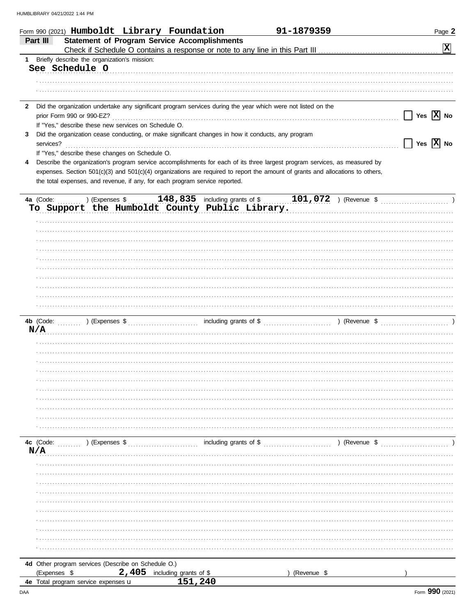|              | Form 990 (2021) Humboldt Library Foundation                                                                                    |                                   | 91-1879359  | Page 2                                            |
|--------------|--------------------------------------------------------------------------------------------------------------------------------|-----------------------------------|-------------|---------------------------------------------------|
|              | <b>Statement of Program Service Accomplishments</b><br>Part III                                                                |                                   |             |                                                   |
|              |                                                                                                                                |                                   |             | $\boxed{\mathbf{X}}$                              |
|              | 1 Briefly describe the organization's mission:                                                                                 |                                   |             |                                                   |
|              | See Schedule O                                                                                                                 |                                   |             |                                                   |
|              |                                                                                                                                |                                   |             |                                                   |
|              |                                                                                                                                |                                   |             |                                                   |
|              |                                                                                                                                |                                   |             |                                                   |
| $\mathbf{2}$ | Did the organization undertake any significant program services during the year which were not listed on the                   |                                   |             |                                                   |
|              |                                                                                                                                |                                   |             | $\vert$ $\vert$ Yes $\vert$ X $\vert$ No          |
|              | If "Yes," describe these new services on Schedule O.                                                                           |                                   |             |                                                   |
| 3            | Did the organization cease conducting, or make significant changes in how it conducts, any program                             |                                   |             |                                                   |
|              | services?<br>If "Yes," describe these changes on Schedule O.                                                                   |                                   |             | $\boxed{\phantom{1}}$ Yes $\boxed{\textbf{X}}$ No |
|              |                                                                                                                                |                                   |             |                                                   |
| 4            | Describe the organization's program service accomplishments for each of its three largest program services, as measured by     |                                   |             |                                                   |
|              | expenses. Section 501(c)(3) and 501(c)(4) organizations are required to report the amount of grants and allocations to others, |                                   |             |                                                   |
|              | the total expenses, and revenue, if any, for each program service reported.                                                    |                                   |             |                                                   |
|              |                                                                                                                                |                                   |             |                                                   |
|              | To Support the Humboldt County Public Library.                                                                                 |                                   |             |                                                   |
|              |                                                                                                                                |                                   |             |                                                   |
|              |                                                                                                                                |                                   |             |                                                   |
|              |                                                                                                                                |                                   |             |                                                   |
|              |                                                                                                                                |                                   |             |                                                   |
|              |                                                                                                                                |                                   |             |                                                   |
|              |                                                                                                                                |                                   |             |                                                   |
|              |                                                                                                                                |                                   |             |                                                   |
|              |                                                                                                                                |                                   |             |                                                   |
|              |                                                                                                                                |                                   |             |                                                   |
|              |                                                                                                                                |                                   |             |                                                   |
|              |                                                                                                                                |                                   |             |                                                   |
|              |                                                                                                                                |                                   |             |                                                   |
|              | N/A                                                                                                                            |                                   |             |                                                   |
|              |                                                                                                                                |                                   |             |                                                   |
|              |                                                                                                                                |                                   |             |                                                   |
|              |                                                                                                                                |                                   |             |                                                   |
|              |                                                                                                                                |                                   |             |                                                   |
|              |                                                                                                                                |                                   |             |                                                   |
|              |                                                                                                                                |                                   |             |                                                   |
|              |                                                                                                                                |                                   |             |                                                   |
|              |                                                                                                                                |                                   |             |                                                   |
|              |                                                                                                                                |                                   |             |                                                   |
|              |                                                                                                                                |                                   |             |                                                   |
|              |                                                                                                                                |                                   |             |                                                   |
|              | 4c (Code:<br>$\ldots$ , $\ldots$ ) (Expenses \$                                                                                |                                   |             |                                                   |
|              | N/A                                                                                                                            |                                   |             |                                                   |
|              |                                                                                                                                |                                   |             |                                                   |
|              |                                                                                                                                |                                   |             |                                                   |
|              |                                                                                                                                |                                   |             |                                                   |
|              |                                                                                                                                |                                   |             |                                                   |
|              |                                                                                                                                |                                   |             |                                                   |
|              |                                                                                                                                |                                   |             |                                                   |
|              |                                                                                                                                |                                   |             |                                                   |
|              |                                                                                                                                |                                   |             |                                                   |
|              |                                                                                                                                |                                   |             |                                                   |
|              |                                                                                                                                |                                   |             |                                                   |
|              |                                                                                                                                |                                   |             |                                                   |
|              | 4d Other program services (Describe on Schedule O.)<br>2,405                                                                   |                                   |             |                                                   |
|              | (Expenses \$<br>4e Total program service expenses u                                                                            | including grants of \$<br>151,240 | (Revenue \$ |                                                   |
|              |                                                                                                                                |                                   |             |                                                   |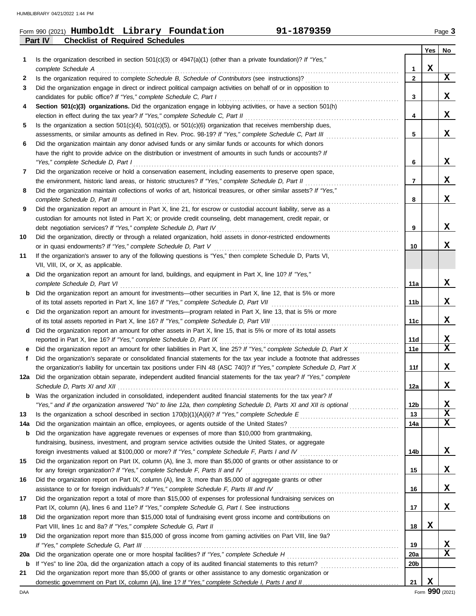# Form 990 (2021) Page **3 Humboldt Library Foundation 91-1879359**

**Part IV Checklist of Required Schedules**

|     |                                                                                                                                      |                 | Yes | No           |
|-----|--------------------------------------------------------------------------------------------------------------------------------------|-----------------|-----|--------------|
| 1   | Is the organization described in section 501(c)(3) or $4947(a)(1)$ (other than a private foundation)? If "Yes,"                      |                 |     |              |
|     |                                                                                                                                      | 1               | X   |              |
| 2   |                                                                                                                                      | $\mathbf{2}$    |     | X            |
| 3   | Did the organization engage in direct or indirect political campaign activities on behalf of or in opposition to                     |                 |     |              |
|     |                                                                                                                                      | 3               |     | x            |
| 4   | Section 501(c)(3) organizations. Did the organization engage in lobbying activities, or have a section 501(h)                        |                 |     |              |
|     |                                                                                                                                      | 4               |     | x            |
| 5   | Is the organization a section $501(c)(4)$ , $501(c)(5)$ , or $501(c)(6)$ organization that receives membership dues,                 |                 |     |              |
|     |                                                                                                                                      | 5               |     | x            |
| 6   | Did the organization maintain any donor advised funds or any similar funds or accounts for which donors                              |                 |     |              |
|     | have the right to provide advice on the distribution or investment of amounts in such funds or accounts? If                          |                 |     |              |
|     |                                                                                                                                      | 6               |     | x            |
| 7   | Did the organization receive or hold a conservation easement, including easements to preserve open space,                            |                 |     |              |
|     | the environment, historic land areas, or historic structures? If "Yes," complete Schedule D, Part II                                 | 7               |     | x            |
| 8   | Did the organization maintain collections of works of art, historical treasures, or other similar assets? If "Yes,"                  |                 |     |              |
|     |                                                                                                                                      | 8               |     | x            |
| 9   | Did the organization report an amount in Part X, line 21, for escrow or custodial account liability, serve as a                      |                 |     |              |
|     | custodian for amounts not listed in Part X; or provide credit counseling, debt management, credit repair, or                         |                 |     | x            |
|     |                                                                                                                                      | 9               |     |              |
| 10  | Did the organization, directly or through a related organization, hold assets in donor-restricted endowments                         | 10              |     | x            |
| 11  | If the organization's answer to any of the following questions is "Yes," then complete Schedule D, Parts VI,                         |                 |     |              |
|     | VII, VIII, IX, or X, as applicable.                                                                                                  |                 |     |              |
| a   | Did the organization report an amount for land, buildings, and equipment in Part X, line 10? If "Yes,"                               |                 |     |              |
|     |                                                                                                                                      | 11a             |     | x            |
|     | <b>b</b> Did the organization report an amount for investments—other securities in Part X, line 12, that is 5% or more               |                 |     |              |
|     |                                                                                                                                      | 11b             |     | x            |
| C   | Did the organization report an amount for investments—program related in Part X, line 13, that is 5% or more                         |                 |     |              |
|     |                                                                                                                                      | 11c             |     | x            |
| d   | Did the organization report an amount for other assets in Part X, line 15, that is 5% or more of its total assets                    |                 |     |              |
|     |                                                                                                                                      | 11d             |     | X            |
| е   |                                                                                                                                      | 11e             |     | X            |
| f   | Did the organization's separate or consolidated financial statements for the tax year include a footnote that addresses              |                 |     |              |
|     | the organization's liability for uncertain tax positions under FIN 48 (ASC 740)? If "Yes," complete Schedule D, Part X               | 11f             |     | x            |
| 12a | Did the organization obtain separate, independent audited financial statements for the tax year? If "Yes," complete                  |                 |     |              |
|     |                                                                                                                                      | 12a             |     | x            |
| b   | Was the organization included in consolidated, independent audited financial statements for the tax year? If                         |                 |     |              |
|     | "Yes," and if the organization answered "No" to line 12a, then completing Schedule D, Parts XI and XII is optional <i>commension</i> | 12 <sub>b</sub> |     | $\mathbf{x}$ |
| 13  |                                                                                                                                      | 13              |     | X            |
| 14a |                                                                                                                                      | 14a             |     | X            |
| b   | Did the organization have aggregate revenues or expenses of more than \$10,000 from grantmaking,                                     |                 |     |              |
|     | fundraising, business, investment, and program service activities outside the United States, or aggregate                            |                 |     |              |
|     |                                                                                                                                      | 14b             |     | X            |
| 15  | Did the organization report on Part IX, column (A), line 3, more than \$5,000 of grants or other assistance to or                    | 15              |     | X            |
| 16  | Did the organization report on Part IX, column (A), line 3, more than \$5,000 of aggregate grants or other                           |                 |     |              |
|     |                                                                                                                                      | 16              |     | X            |
| 17  | Did the organization report a total of more than \$15,000 of expenses for professional fundraising services on                       |                 |     |              |
|     |                                                                                                                                      | 17              |     | X            |
| 18  | Did the organization report more than \$15,000 total of fundraising event gross income and contributions on                          |                 |     |              |
|     |                                                                                                                                      | 18              | X   |              |
| 19  | Did the organization report more than \$15,000 of gross income from gaming activities on Part VIII, line 9a?                         |                 |     |              |
|     |                                                                                                                                      | 19              |     | X            |
| 20a |                                                                                                                                      | 20a             |     | X            |
| b   |                                                                                                                                      | 20 <sub>b</sub> |     |              |
| 21  | Did the organization report more than \$5,000 of grants or other assistance to any domestic organization or                          |                 |     |              |
|     |                                                                                                                                      | 21              | X   |              |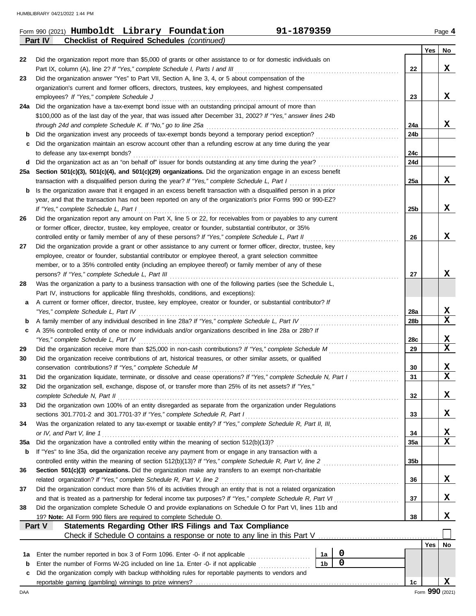|         | 91-1879359<br>Form 990 (2021) Humboldt Library Foundation                                                                                                                                                |                 |     | Page 4          |
|---------|----------------------------------------------------------------------------------------------------------------------------------------------------------------------------------------------------------|-----------------|-----|-----------------|
|         | <b>Checklist of Required Schedules (continued)</b><br>Part IV                                                                                                                                            |                 |     |                 |
| 22      | Did the organization report more than \$5,000 of grants or other assistance to or for domestic individuals on                                                                                            |                 | Yes | No              |
|         | Part IX, column (A), line 2? If "Yes," complete Schedule I, Parts I and III                                                                                                                              | 22              |     | x               |
| 23      | Did the organization answer "Yes" to Part VII, Section A, line 3, 4, or 5 about compensation of the                                                                                                      |                 |     |                 |
|         | organization's current and former officers, directors, trustees, key employees, and highest compensated                                                                                                  |                 |     |                 |
|         | employees? If "Yes," complete Schedule J                                                                                                                                                                 | 23              |     | X               |
|         | 24a Did the organization have a tax-exempt bond issue with an outstanding principal amount of more than                                                                                                  |                 |     |                 |
|         | \$100,000 as of the last day of the year, that was issued after December 31, 2002? If "Yes," answer lines 24b                                                                                            |                 |     |                 |
|         | through 24d and complete Schedule K. If "No," go to line 25a                                                                                                                                             | 24a             |     | X               |
| b       | Did the organization invest any proceeds of tax-exempt bonds beyond a temporary period exception?                                                                                                        | 24 <sub>b</sub> |     |                 |
| с       | Did the organization maintain an escrow account other than a refunding escrow at any time during the year                                                                                                |                 |     |                 |
| d       | to defease any tax-exempt bonds?<br>Did the organization act as an "on behalf of" issuer for bonds outstanding at any time during the year?                                                              | 24c<br>24d      |     |                 |
| 25а     | Section 501(c)(3), 501(c)(4), and 501(c)(29) organizations. Did the organization engage in an excess benefit                                                                                             |                 |     |                 |
|         | transaction with a disqualified person during the year? If "Yes," complete Schedule L, Part I                                                                                                            | 25a             |     | X               |
| b       | Is the organization aware that it engaged in an excess benefit transaction with a disqualified person in a prior                                                                                         |                 |     |                 |
|         | year, and that the transaction has not been reported on any of the organization's prior Forms 990 or 990-EZ?                                                                                             |                 |     |                 |
|         | If "Yes," complete Schedule L, Part I                                                                                                                                                                    | 25 <sub>b</sub> |     | x               |
| 26      | Did the organization report any amount on Part X, line 5 or 22, for receivables from or payables to any current                                                                                          |                 |     |                 |
|         | or former officer, director, trustee, key employee, creator or founder, substantial contributor, or 35%                                                                                                  |                 |     |                 |
|         | controlled entity or family member of any of these persons? If "Yes," complete Schedule L, Part II                                                                                                       | 26              |     | x               |
| 27      | Did the organization provide a grant or other assistance to any current or former officer, director, trustee, key                                                                                        |                 |     |                 |
|         | employee, creator or founder, substantial contributor or employee thereof, a grant selection committee                                                                                                   |                 |     |                 |
|         | member, or to a 35% controlled entity (including an employee thereof) or family member of any of these                                                                                                   |                 |     |                 |
|         | persons? If "Yes," complete Schedule L, Part III                                                                                                                                                         | 27              |     | X               |
| 28      | Was the organization a party to a business transaction with one of the following parties (see the Schedule L,                                                                                            |                 |     |                 |
|         | Part IV, instructions for applicable filing thresholds, conditions, and exceptions):<br>A current or former officer, director, trustee, key employee, creator or founder, or substantial contributor? If |                 |     |                 |
| а       | "Yes," complete Schedule L, Part IV                                                                                                                                                                      | 28a             |     | $\mathbf{x}$    |
| b       | A family member of any individual described in line 28a? If "Yes," complete Schedule L, Part IV                                                                                                          | 28 <sub>b</sub> |     | $\mathbf{x}$    |
| c       | A 35% controlled entity of one or more individuals and/or organizations described in line 28a or 28b? If                                                                                                 |                 |     |                 |
|         | "Yes," complete Schedule L, Part IV                                                                                                                                                                      | 28c             |     | $\mathbf{x}$    |
| 29      | Did the organization receive more than \$25,000 in non-cash contributions? If "Yes," complete Schedule M                                                                                                 | 29              |     | $\mathbf x$     |
| 30      | Did the organization receive contributions of art, historical treasures, or other similar assets, or qualified                                                                                           |                 |     |                 |
|         |                                                                                                                                                                                                          | 30              |     | X               |
| 31      | Did the organization liquidate, terminate, or dissolve and cease operations? If "Yes," complete Schedule N, Part I                                                                                       | 31              |     | $\mathbf x$     |
| 32      | Did the organization sell, exchange, dispose of, or transfer more than 25% of its net assets? If "Yes,"                                                                                                  |                 |     |                 |
|         | complete Schedule N, Part II                                                                                                                                                                             | 32              |     | X               |
| 33      | Did the organization own 100% of an entity disregarded as separate from the organization under Regulations                                                                                               |                 |     |                 |
|         | sections 301.7701-2 and 301.7701-3? If "Yes," complete Schedule R, Part I<br>Was the organization related to any tax-exempt or taxable entity? If "Yes," complete Schedule R, Part II, III,              | 33              |     | X               |
| 34      | or IV, and Part V, line 1                                                                                                                                                                                | 34              |     | $\mathbf{x}$    |
| 35a     |                                                                                                                                                                                                          | 35a             |     | X               |
| b       | If "Yes" to line 35a, did the organization receive any payment from or engage in any transaction with a                                                                                                  |                 |     |                 |
|         | controlled entity within the meaning of section 512(b)(13)? If "Yes," complete Schedule R, Part V, line 2                                                                                                | 35 <sub>b</sub> |     |                 |
| 36      | Section 501(c)(3) organizations. Did the organization make any transfers to an exempt non-charitable                                                                                                     |                 |     |                 |
|         | related organization? If "Yes," complete Schedule R, Part V, line 2                                                                                                                                      | 36              |     | X               |
| 37      | Did the organization conduct more than 5% of its activities through an entity that is not a related organization                                                                                         |                 |     |                 |
|         | and that is treated as a partnership for federal income tax purposes? If "Yes," complete Schedule R, Part VI                                                                                             | 37              |     | X               |
| 38      | Did the organization complete Schedule O and provide explanations on Schedule O for Part VI, lines 11b and                                                                                               |                 |     |                 |
|         | 19? Note: All Form 990 filers are required to complete Schedule O.                                                                                                                                       | 38              |     | X               |
|         | Statements Regarding Other IRS Filings and Tax Compliance<br>Part V                                                                                                                                      |                 |     |                 |
|         |                                                                                                                                                                                                          |                 |     |                 |
|         | $\mathbf 0$                                                                                                                                                                                              |                 | Yes | No              |
| 1а<br>b | 1a<br>Enter the number reported in box 3 of Form 1096. Enter -0- if not applicable<br>$\mathbf 0$<br>1 <sub>b</sub><br>Enter the number of Forms W-2G included on line 1a. Enter -0- if not applicable   |                 |     |                 |
| c       | Did the organization comply with backup withholding rules for reportable payments to vendors and                                                                                                         |                 |     |                 |
|         |                                                                                                                                                                                                          | 1c              |     | X               |
| DAA     |                                                                                                                                                                                                          |                 |     | Form 990 (2021) |

| (2021) Humboldt Library Fou |  |
|-----------------------------|--|
|                             |  |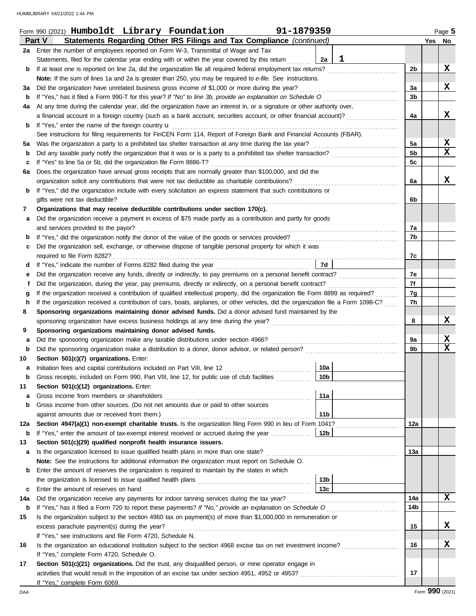|                   | Form 990 (2021) Humboldt Library Foundation<br>91-1879359                                                                                                    |                 |              |                      |        | Page 5                      |
|-------------------|--------------------------------------------------------------------------------------------------------------------------------------------------------------|-----------------|--------------|----------------------|--------|-----------------------------|
|                   | Statements Regarding Other IRS Filings and Tax Compliance (continued)<br>Part V                                                                              |                 |              |                      | Yes No |                             |
|                   | 2a Enter the number of employees reported on Form W-3, Transmittal of Wage and Tax                                                                           |                 |              |                      |        |                             |
|                   | Statements, filed for the calendar year ending with or within the year covered by this return                                                                | 2a              | $\mathbf{1}$ |                      |        |                             |
| b                 | If at least one is reported on line 2a, did the organization file all required federal employment tax returns?                                               |                 |              | 2 <sub>b</sub>       |        | X                           |
|                   | Note: If the sum of lines 1a and 2a is greater than 250, you may be required to e-file. See instructions.                                                    |                 |              |                      |        |                             |
| За                | Did the organization have unrelated business gross income of \$1,000 or more during the year?                                                                |                 |              | 3a                   |        | x                           |
| b                 |                                                                                                                                                              |                 |              | 3 <sub>b</sub>       |        |                             |
| 4a                | At any time during the calendar year, did the organization have an interest in, or a signature or other authority over,                                      |                 |              |                      |        |                             |
|                   | a financial account in a foreign country (such as a bank account, securities account, or other financial account)?                                           |                 |              | 4a                   |        | x                           |
| b                 |                                                                                                                                                              |                 |              |                      |        |                             |
|                   | See instructions for filing requirements for FinCEN Form 114, Report of Foreign Bank and Financial Accounts (FBAR).                                          |                 |              |                      |        |                             |
| 5а                |                                                                                                                                                              |                 |              | 5a<br>5 <sub>b</sub> |        | $\mathbf{x}$<br>$\mathbf x$ |
| b                 |                                                                                                                                                              |                 |              | 5c                   |        |                             |
| с<br>6а           | Does the organization have annual gross receipts that are normally greater than \$100,000, and did the                                                       |                 |              |                      |        |                             |
|                   |                                                                                                                                                              |                 |              | 6a                   |        | X                           |
| b                 | If "Yes," did the organization include with every solicitation an express statement that such contributions or                                               |                 |              |                      |        |                             |
|                   | gifts were not tax deductible?                                                                                                                               |                 |              | 6b                   |        |                             |
| 7                 | Organizations that may receive deductible contributions under section 170(c).                                                                                |                 |              |                      |        |                             |
| а                 | Did the organization receive a payment in excess of \$75 made partly as a contribution and partly for goods                                                  |                 |              |                      |        |                             |
|                   | and services provided to the payor?                                                                                                                          |                 |              | 7a                   |        |                             |
| b                 |                                                                                                                                                              |                 |              | 7b                   |        |                             |
| с                 | Did the organization sell, exchange, or otherwise dispose of tangible personal property for which it was                                                     |                 |              |                      |        |                             |
|                   |                                                                                                                                                              |                 |              | 7c                   |        |                             |
| d                 |                                                                                                                                                              | <b>7d</b>       |              |                      |        |                             |
| е                 |                                                                                                                                                              |                 |              | 7e                   |        |                             |
|                   |                                                                                                                                                              |                 |              | 7f                   |        |                             |
| g                 | If the organization received a contribution of qualified intellectual property, did the organization file Form 8899 as required?                             |                 |              | 7g                   |        |                             |
| h                 | If the organization received a contribution of cars, boats, airplanes, or other vehicles, did the organization file a Form 1098-C?                           |                 |              | 7h                   |        |                             |
| 8                 | Sponsoring organizations maintaining donor advised funds. Did a donor advised fund maintained by the                                                         |                 |              |                      |        |                             |
|                   |                                                                                                                                                              |                 |              | 8                    |        | X                           |
| 9                 | Sponsoring organizations maintaining donor advised funds.                                                                                                    |                 |              |                      |        |                             |
| а                 |                                                                                                                                                              |                 |              | 9a<br>9 <sub>b</sub> |        | $\mathbf x$<br>$\mathbf x$  |
| $\mathbf b$<br>10 | Section 501(c)(7) organizations. Enter:                                                                                                                      |                 |              |                      |        |                             |
| а                 | Initiation fees and capital contributions included on Part VIII, line 12 [11] [11] [12] [11] [12] [11] [12] [1                                               | 10a             |              |                      |        |                             |
| b                 | Gross receipts, included on Form 990, Part VIII, line 12, for public use of club facilities                                                                  | 10b             |              |                      |        |                             |
| 11                | Section 501(c)(12) organizations. Enter:                                                                                                                     |                 |              |                      |        |                             |
| а                 |                                                                                                                                                              | 11a             |              |                      |        |                             |
| b                 | Gross income from other sources. (Do not net amounts due or paid to other sources                                                                            |                 |              |                      |        |                             |
|                   | against amounts due or received from them.)                                                                                                                  | 11 <sub>b</sub> |              |                      |        |                             |
| 12a               | Section 4947(a)(1) non-exempt charitable trusts. Is the organization filing Form 990 in lieu of Form 1041?                                                   |                 |              | 12a                  |        |                             |
| b                 | If "Yes," enter the amount of tax-exempt interest received or accrued during the year                                                                        | 12b             |              |                      |        |                             |
| 13                | Section 501(c)(29) qualified nonprofit health insurance issuers.                                                                                             |                 |              |                      |        |                             |
| а                 |                                                                                                                                                              |                 |              | 13а                  |        |                             |
|                   | Note: See the instructions for additional information the organization must report on Schedule O.                                                            |                 |              |                      |        |                             |
| b                 | Enter the amount of reserves the organization is required to maintain by the states in which                                                                 |                 |              |                      |        |                             |
|                   |                                                                                                                                                              | 13 <sub>b</sub> |              |                      |        |                             |
| c                 | Enter the amount of reserves on hand                                                                                                                         | 13 <sub>c</sub> |              |                      |        |                             |
| 14a               |                                                                                                                                                              |                 |              | 14a                  |        | X                           |
| b                 |                                                                                                                                                              |                 |              | 14b                  |        |                             |
| 15                | Is the organization subject to the section 4960 tax on payment(s) of more than \$1,000,000 in remuneration or                                                |                 |              |                      |        |                             |
|                   | excess parachute payment(s) during the year?                                                                                                                 |                 |              | 15                   |        | x                           |
|                   | If "Yes," see instructions and file Form 4720, Schedule N.                                                                                                   |                 |              |                      |        | X                           |
| 16                | Is the organization an educational institution subject to the section 4968 excise tax on net investment income?<br>If "Yes," complete Form 4720, Schedule O. |                 |              | 16                   |        |                             |
| 17                | Section 501(c)(21) organizations. Did the trust, any disqualified person, or mine operator engage in                                                         |                 |              |                      |        |                             |
|                   |                                                                                                                                                              |                 |              | 17                   |        |                             |
|                   | If "Yes," complete Form 6069.                                                                                                                                |                 |              |                      |        |                             |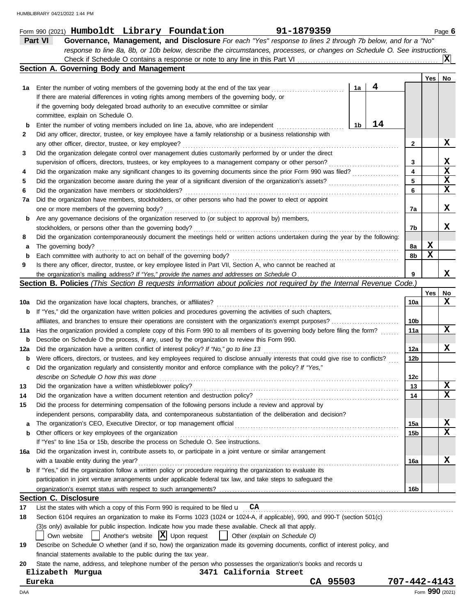|     | 91-1879359<br>Form 990 (2021) Humboldt Library Foundation                                                                           |                 |     | Page 6          |
|-----|-------------------------------------------------------------------------------------------------------------------------------------|-----------------|-----|-----------------|
|     | Part VI<br>Governance, Management, and Disclosure For each "Yes" response to lines 2 through 7b below, and for a "No"               |                 |     |                 |
|     | response to line 8a, 8b, or 10b below, describe the circumstances, processes, or changes on Schedule O. See instructions.           |                 |     |                 |
|     |                                                                                                                                     |                 |     | ΙXΙ             |
|     | Section A. Governing Body and Management                                                                                            |                 |     |                 |
|     |                                                                                                                                     |                 | Yes | No              |
| 1а  | 4<br>1a<br>Enter the number of voting members of the governing body at the end of the tax year                                      |                 |     |                 |
|     | If there are material differences in voting rights among members of the governing body, or                                          |                 |     |                 |
|     | if the governing body delegated broad authority to an executive committee or similar                                                |                 |     |                 |
|     | committee, explain on Schedule O.                                                                                                   |                 |     |                 |
| b   | 14<br>1 <sub>b</sub><br>Enter the number of voting members included on line 1a, above, who are independent                          |                 |     |                 |
| 2   | Did any officer, director, trustee, or key employee have a family relationship or a business relationship with                      |                 |     |                 |
|     | any other officer, director, trustee, or key employee?                                                                              | $\mathbf{2}$    |     | X               |
| 3   | Did the organization delegate control over management duties customarily performed by or under the direct                           |                 |     |                 |
|     | supervision of officers, directors, trustees, or key employees to a management company or other person?                             | 3               |     | X               |
| 4   | Did the organization make any significant changes to its governing documents since the prior Form 990 was filed?                    | 4               |     | $\mathbf x$     |
| 5   |                                                                                                                                     | 5               |     | X               |
| 6   | Did the organization have members or stockholders?                                                                                  | 6               |     | $\mathbf x$     |
| 7а  | Did the organization have members, stockholders, or other persons who had the power to elect or appoint                             |                 |     |                 |
|     | one or more members of the governing body?                                                                                          | 7a              |     | X               |
| b   | Are any governance decisions of the organization reserved to (or subject to approval by) members,                                   |                 |     |                 |
|     | stockholders, or persons other than the governing body?                                                                             | 7b              |     | x               |
| 8   | Did the organization contemporaneously document the meetings held or written actions undertaken during the year by the following:   |                 |     |                 |
| а   | The governing body?                                                                                                                 | 8а              | X   |                 |
| b   | Each committee with authority to act on behalf of the governing body?                                                               | 8b              | X   |                 |
| 9   | Is there any officer, director, trustee, or key employee listed in Part VII, Section A, who cannot be reached at                    |                 |     |                 |
|     | the organization's mailing address? If "Yes," provide the names and addresses on Schedule O                                         | 9               |     | x               |
|     | Section B. Policies (This Section B requests information about policies not required by the Internal Revenue Code.)                 |                 |     |                 |
|     |                                                                                                                                     |                 | Yes | No              |
| 10a | Did the organization have local chapters, branches, or affiliates?                                                                  | 10a             |     | X               |
| b   | If "Yes," did the organization have written policies and procedures governing the activities of such chapters,                      |                 |     |                 |
|     | affiliates, and branches to ensure their operations are consistent with the organization's exempt purposes?                         | 10b             |     |                 |
| 11a | Has the organization provided a complete copy of this Form 990 to all members of its governing body before filing the form?         | 11a             |     | X               |
| b   | Describe on Schedule O the process, if any, used by the organization to review this Form 990.                                       |                 |     |                 |
| 12a | Did the organization have a written conflict of interest policy? If "No," go to line 13                                             | 12a             |     | X               |
| b   | Were officers, directors, or trustees, and key employees required to disclose annually interests that could give rise to conflicts? | 12b             |     |                 |
| c   | Did the organization regularly and consistently monitor and enforce compliance with the policy? If "Yes,"                           |                 |     |                 |
|     | describe on Schedule O how this was done                                                                                            | 12c             |     |                 |
| 13  | Did the organization have a written whistleblower policy?                                                                           | 13              |     | $\mathbf x$     |
| 14  | Did the organization have a written document retention and destruction policy?                                                      | 14              |     | x               |
| 15  | Did the process for determining compensation of the following persons include a review and approval by                              |                 |     |                 |
|     | independent persons, comparability data, and contemporaneous substantiation of the deliberation and decision?                       |                 |     |                 |
| a   |                                                                                                                                     | 15a             |     | X               |
| b   | Other officers or key employees of the organization                                                                                 | 15b             |     | $\mathbf x$     |
|     | If "Yes" to line 15a or 15b, describe the process on Schedule O. See instructions.                                                  |                 |     |                 |
| 16a | Did the organization invest in, contribute assets to, or participate in a joint venture or similar arrangement                      |                 |     |                 |
|     | with a taxable entity during the year?                                                                                              | 16a             |     | X               |
|     | <b>b</b> If "Yes," did the organization follow a written policy or procedure requiring the organization to evaluate its             |                 |     |                 |
|     | participation in joint venture arrangements under applicable federal tax law, and take steps to safeguard the                       |                 |     |                 |
|     |                                                                                                                                     | 16 <sub>b</sub> |     |                 |
|     | <b>Section C. Disclosure</b>                                                                                                        |                 |     |                 |
| 17  | List the states with which a copy of this Form 990 is required to be filed $\mathbf{u}$ $\mathbf{CA}$                               |                 |     |                 |
| 18  | Section 6104 requires an organization to make its Forms 1023 (1024 or 1024-A, if applicable), 990, and 990-T (section 501(c)        |                 |     |                 |
|     | (3)s only) available for public inspection. Indicate how you made these available. Check all that apply.                            |                 |     |                 |
|     | Another's website $ \mathbf{X} $ Upon request<br>Own website<br>Other (explain on Schedule O)                                       |                 |     |                 |
| 19  | Describe on Schedule O whether (and if so, how) the organization made its governing documents, conflict of interest policy, and     |                 |     |                 |
|     | financial statements available to the public during the tax year.                                                                   |                 |     |                 |
| 20  | State the name, address, and telephone number of the person who possesses the organization's books and records u                    |                 |     |                 |
|     | 3471 California Street<br>Elizabeth Murgua                                                                                          |                 |     |                 |
|     | CA 95503<br>Eureka                                                                                                                  | 707-442-4143    |     |                 |
| DAA |                                                                                                                                     |                 |     | Form 990 (2021) |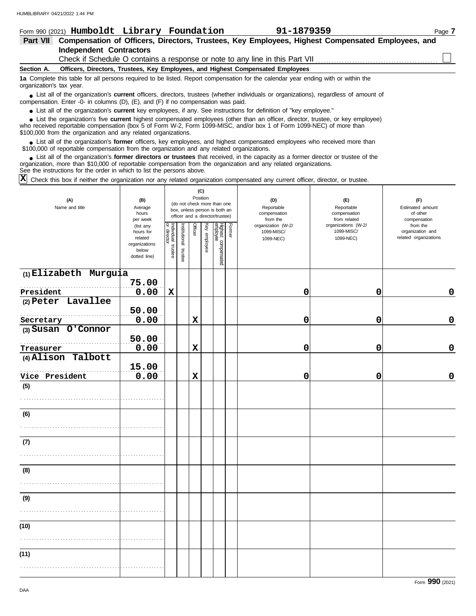|                          | Form 990 (2021) Humboldt Library Foundation                                                                                                                                                                                                                                                                                | 91-1879359 | Page 7 |
|--------------------------|----------------------------------------------------------------------------------------------------------------------------------------------------------------------------------------------------------------------------------------------------------------------------------------------------------------------------|------------|--------|
| Part VII                 | Compensation of Officers, Directors, Trustees, Key Employees, Highest Compensated Employees, and                                                                                                                                                                                                                           |            |        |
|                          | Independent Contractors                                                                                                                                                                                                                                                                                                    |            |        |
|                          | Check if Schedule O contains a response or note to any line in this Part VII                                                                                                                                                                                                                                               |            |        |
| Section A.               | Officers, Directors, Trustees, Key Employees, and Highest Compensated Employees                                                                                                                                                                                                                                            |            |        |
| organization's tax year. | 1a Complete this table for all persons required to be listed. Report compensation for the calendar year ending with or within the                                                                                                                                                                                          |            |        |
|                          | • List all of the organization's <b>current</b> officers, directors, trustees (whether individuals or organizations), regardless of amount of<br>compensation. Enter -0- in columns $(D)$ , $(E)$ , and $(F)$ if no compensation was paid.                                                                                 |            |        |
|                          | • List all of the organization's <b>current</b> key employees, if any. See instructions for definition of "key employee."                                                                                                                                                                                                  |            |        |
|                          | • List the organization's five current highest compensated employees (other than an officer, director, trustee, or key employee)<br>who received reportable compensation (box 5 of Form W-2, Form 1099-MISC, and/or box 1 of Form 1099-NEC) of more than<br>\$100,000 from the organization and any related organizations. |            |        |
|                          | List all of the organization's former officers, key employees, and highest compensated employees who received more than                                                                                                                                                                                                    |            |        |

• List all of the organization's **former** officers, key employees, and highest compensate \$100,000 of reportable compensation from the organization and any related organizations.

List all of the organization's **former directors or trustees** that received, in the capacity as a former director or trustee of the organization, more than \$10,000 of reportable compensation from the organization and any related organizations. See the instructions for the order in which to list the persons above. **•**

Check this box if neither the organization nor any related organization compensated any current officer, director, or trustee. **X**

| (A)<br>Name and title | (B)<br>Average<br>hours<br>per week                                         |                                   |                       |                | (C)<br>Position | (do not check more than one<br>box, unless person is both an<br>officer and a director/trustee) |        | (E)<br>Reportable<br>compensation<br>from related         | (F)<br>Estimated amount<br>of other<br>compensation |                                                       |
|-----------------------|-----------------------------------------------------------------------------|-----------------------------------|-----------------------|----------------|-----------------|-------------------------------------------------------------------------------------------------|--------|-----------------------------------------------------------|-----------------------------------------------------|-------------------------------------------------------|
|                       | (list any<br>hours for<br>related<br>organizations<br>below<br>dotted line) | Individual trustee<br>or director | Institutional trustee | <b>Officer</b> | Key employee    | Highest compensated<br>employee                                                                 | Former | from the<br>organization (W-2/<br>1099-MISC/<br>1099-NEC) | organizations (W-2/<br>1099-MISC/<br>1099-NEC)      | from the<br>organization and<br>related organizations |
| (1) Elizabeth Murguia | 75.00                                                                       |                                   |                       |                |                 |                                                                                                 |        |                                                           |                                                     |                                                       |
| President             | 0.00                                                                        | $\mathbf x$                       |                       |                |                 |                                                                                                 |        | $\mathbf 0$                                               | 0                                                   | 0                                                     |
| (2) Peter Lavallee    | 50.00                                                                       |                                   |                       |                |                 |                                                                                                 |        |                                                           |                                                     |                                                       |
| Secretary             | 0.00                                                                        |                                   |                       | $\mathbf x$    |                 |                                                                                                 |        | 0                                                         | 0                                                   | 0                                                     |
| (3) Susan O'Connor    |                                                                             |                                   |                       |                |                 |                                                                                                 |        |                                                           |                                                     |                                                       |
|                       | 50.00                                                                       |                                   |                       |                |                 |                                                                                                 |        |                                                           |                                                     |                                                       |
| Treasurer             | 0.00                                                                        |                                   |                       | $\mathbf x$    |                 |                                                                                                 |        | 0                                                         | 0                                                   | 0                                                     |
| (4) Alison Talbott    |                                                                             |                                   |                       |                |                 |                                                                                                 |        |                                                           |                                                     |                                                       |
|                       | 15.00                                                                       |                                   |                       |                |                 |                                                                                                 |        |                                                           |                                                     |                                                       |
| Vice President        | 0.00                                                                        |                                   |                       | $\mathbf x$    |                 |                                                                                                 |        | 0                                                         | 0                                                   | $\mathbf 0$                                           |
| (5)                   |                                                                             |                                   |                       |                |                 |                                                                                                 |        |                                                           |                                                     |                                                       |
|                       |                                                                             |                                   |                       |                |                 |                                                                                                 |        |                                                           |                                                     |                                                       |
| (6)                   |                                                                             |                                   |                       |                |                 |                                                                                                 |        |                                                           |                                                     |                                                       |
|                       |                                                                             |                                   |                       |                |                 |                                                                                                 |        |                                                           |                                                     |                                                       |
|                       |                                                                             |                                   |                       |                |                 |                                                                                                 |        |                                                           |                                                     |                                                       |
| (7)                   |                                                                             |                                   |                       |                |                 |                                                                                                 |        |                                                           |                                                     |                                                       |
|                       |                                                                             |                                   |                       |                |                 |                                                                                                 |        |                                                           |                                                     |                                                       |
|                       |                                                                             |                                   |                       |                |                 |                                                                                                 |        |                                                           |                                                     |                                                       |
| (8)                   |                                                                             |                                   |                       |                |                 |                                                                                                 |        |                                                           |                                                     |                                                       |
|                       |                                                                             |                                   |                       |                |                 |                                                                                                 |        |                                                           |                                                     |                                                       |
| (9)                   |                                                                             |                                   |                       |                |                 |                                                                                                 |        |                                                           |                                                     |                                                       |
|                       |                                                                             |                                   |                       |                |                 |                                                                                                 |        |                                                           |                                                     |                                                       |
|                       |                                                                             |                                   |                       |                |                 |                                                                                                 |        |                                                           |                                                     |                                                       |
| (10)                  |                                                                             |                                   |                       |                |                 |                                                                                                 |        |                                                           |                                                     |                                                       |
|                       |                                                                             |                                   |                       |                |                 |                                                                                                 |        |                                                           |                                                     |                                                       |
|                       |                                                                             |                                   |                       |                |                 |                                                                                                 |        |                                                           |                                                     |                                                       |
| (11)                  |                                                                             |                                   |                       |                |                 |                                                                                                 |        |                                                           |                                                     |                                                       |
|                       |                                                                             |                                   |                       |                |                 |                                                                                                 |        |                                                           |                                                     |                                                       |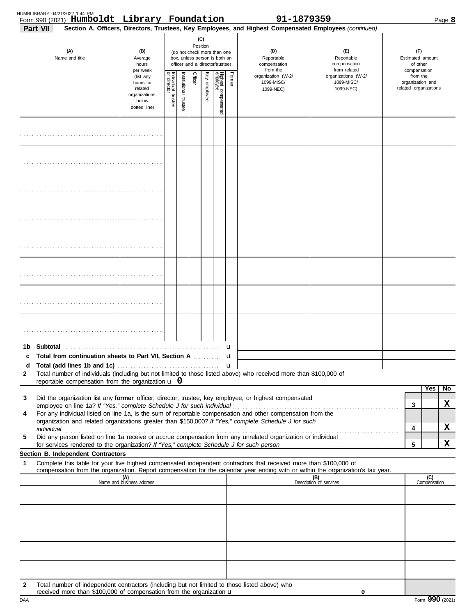|                 | HUMBLIBRARY 04/21/2022 1:44 PM<br>Form 990 (2021) Humboldt Library Foundation                                                                                         |                                                                             |                                               |                          |         |                 |                                                                                                 |        | 91-1879359                                                                                                                                                                                                           |                                                                                                                                                                                                                                |                                                     |                       | Page 8 |
|-----------------|-----------------------------------------------------------------------------------------------------------------------------------------------------------------------|-----------------------------------------------------------------------------|-----------------------------------------------|--------------------------|---------|-----------------|-------------------------------------------------------------------------------------------------|--------|----------------------------------------------------------------------------------------------------------------------------------------------------------------------------------------------------------------------|--------------------------------------------------------------------------------------------------------------------------------------------------------------------------------------------------------------------------------|-----------------------------------------------------|-----------------------|--------|
| <b>Part VII</b> |                                                                                                                                                                       |                                                                             |                                               |                          |         |                 |                                                                                                 |        | Section A. Officers, Directors, Trustees, Key Employees, and Highest Compensated Employees (continued)                                                                                                               |                                                                                                                                                                                                                                |                                                     |                       |        |
|                 | (A)<br>Name and title                                                                                                                                                 | (B)<br>Average<br>hours<br>per week                                         |                                               |                          |         | (C)<br>Position | (do not check more than one<br>box, unless person is both an<br>officer and a director/trustee) |        | (D)<br>Reportable<br>compensation<br>from the                                                                                                                                                                        | (F)<br>Reportable<br>compensation<br>from related                                                                                                                                                                              | (F)<br>Estimated amount<br>of other<br>compensation |                       |        |
|                 |                                                                                                                                                                       | (list any<br>hours for<br>related<br>organizations<br>below<br>dotted line) | Individual trustee<br>or director<br>director | Institutional<br>trustee | Officer | Key<br>enployee | Highest compensated<br>employee                                                                 | Former | organization (W-2/<br>1099-MISC/<br>1099-NEC)                                                                                                                                                                        | organizations (W-2/<br>1099-MISC/<br>1099-NEC)                                                                                                                                                                                 | from the<br>organization and                        | related organizations |        |
|                 |                                                                                                                                                                       |                                                                             |                                               |                          |         |                 |                                                                                                 |        |                                                                                                                                                                                                                      |                                                                                                                                                                                                                                |                                                     |                       |        |
|                 |                                                                                                                                                                       |                                                                             |                                               |                          |         |                 |                                                                                                 |        |                                                                                                                                                                                                                      |                                                                                                                                                                                                                                |                                                     |                       |        |
|                 |                                                                                                                                                                       |                                                                             |                                               |                          |         |                 |                                                                                                 |        |                                                                                                                                                                                                                      |                                                                                                                                                                                                                                |                                                     |                       |        |
|                 |                                                                                                                                                                       |                                                                             |                                               |                          |         |                 |                                                                                                 |        |                                                                                                                                                                                                                      |                                                                                                                                                                                                                                |                                                     |                       |        |
|                 |                                                                                                                                                                       |                                                                             |                                               |                          |         |                 |                                                                                                 |        |                                                                                                                                                                                                                      |                                                                                                                                                                                                                                |                                                     |                       |        |
|                 |                                                                                                                                                                       |                                                                             |                                               |                          |         |                 |                                                                                                 |        |                                                                                                                                                                                                                      |                                                                                                                                                                                                                                |                                                     |                       |        |
|                 |                                                                                                                                                                       |                                                                             |                                               |                          |         |                 |                                                                                                 |        |                                                                                                                                                                                                                      |                                                                                                                                                                                                                                |                                                     |                       |        |
|                 |                                                                                                                                                                       |                                                                             |                                               |                          |         |                 |                                                                                                 |        |                                                                                                                                                                                                                      |                                                                                                                                                                                                                                |                                                     |                       |        |
|                 | c Total from continuation sheets to Part VII. Section A                                                                                                               |                                                                             |                                               |                          |         |                 |                                                                                                 | u<br>u |                                                                                                                                                                                                                      |                                                                                                                                                                                                                                |                                                     |                       |        |
| d               |                                                                                                                                                                       |                                                                             |                                               |                          |         |                 |                                                                                                 |        |                                                                                                                                                                                                                      |                                                                                                                                                                                                                                |                                                     |                       |        |
| 2               | reportable compensation from the organization $\bf{u}$ 0                                                                                                              |                                                                             |                                               |                          |         |                 |                                                                                                 |        | Total number of individuals (including but not limited to those listed above) who received more than \$100,000 of                                                                                                    |                                                                                                                                                                                                                                |                                                     |                       |        |
|                 |                                                                                                                                                                       |                                                                             |                                               |                          |         |                 |                                                                                                 |        | Did the organization list any <b>former</b> officer, director, trustee, key employee, or highest compensated                                                                                                         |                                                                                                                                                                                                                                |                                                     | Yes                   | No     |
| 3               | employee on line 1a? If "Yes," complete Schedule J for such individual                                                                                                |                                                                             |                                               |                          |         |                 |                                                                                                 |        |                                                                                                                                                                                                                      |                                                                                                                                                                                                                                | 3                                                   |                       | x      |
| 4               |                                                                                                                                                                       |                                                                             |                                               |                          |         |                 |                                                                                                 |        | For any individual listed on line 1a, is the sum of reportable compensation and other compensation from the<br>organization and related organizations greater than \$150,000? If "Yes," complete Schedule J for such |                                                                                                                                                                                                                                |                                                     |                       |        |
| 5               |                                                                                                                                                                       |                                                                             |                                               |                          |         |                 |                                                                                                 |        | Did any person listed on line 1a receive or accrue compensation from any unrelated organization or individual                                                                                                        | individual with a construction of the construction of the construction of the construction of the construction of the construction of the construction of the construction of the construction of the construction of the cons | 4                                                   |                       | X      |
|                 |                                                                                                                                                                       |                                                                             |                                               |                          |         |                 |                                                                                                 |        |                                                                                                                                                                                                                      |                                                                                                                                                                                                                                | 5                                                   |                       | x      |
| 1               | Section B. Independent Contractors                                                                                                                                    |                                                                             |                                               |                          |         |                 |                                                                                                 |        | Complete this table for your five highest compensated independent contractors that received more than \$100,000 of                                                                                                   |                                                                                                                                                                                                                                |                                                     |                       |        |
|                 |                                                                                                                                                                       | (A)<br>Name and business address                                            |                                               |                          |         |                 |                                                                                                 |        |                                                                                                                                                                                                                      | compensation from the organization. Report compensation for the calendar year ending with or within the organization's tax year.<br>(B)<br>Description of services                                                             |                                                     | (C)<br>Compensation   |        |
|                 |                                                                                                                                                                       |                                                                             |                                               |                          |         |                 |                                                                                                 |        |                                                                                                                                                                                                                      |                                                                                                                                                                                                                                |                                                     |                       |        |
|                 |                                                                                                                                                                       |                                                                             |                                               |                          |         |                 |                                                                                                 |        |                                                                                                                                                                                                                      |                                                                                                                                                                                                                                |                                                     |                       |        |
|                 |                                                                                                                                                                       |                                                                             |                                               |                          |         |                 |                                                                                                 |        |                                                                                                                                                                                                                      |                                                                                                                                                                                                                                |                                                     |                       |        |
|                 |                                                                                                                                                                       |                                                                             |                                               |                          |         |                 |                                                                                                 |        |                                                                                                                                                                                                                      |                                                                                                                                                                                                                                |                                                     |                       |        |
|                 |                                                                                                                                                                       |                                                                             |                                               |                          |         |                 |                                                                                                 |        |                                                                                                                                                                                                                      |                                                                                                                                                                                                                                |                                                     |                       |        |
| 2               | Total number of independent contractors (including but not limited to those listed above) who<br>received more than \$100,000 of compensation from the organization u |                                                                             |                                               |                          |         |                 |                                                                                                 |        |                                                                                                                                                                                                                      | 0                                                                                                                                                                                                                              |                                                     |                       |        |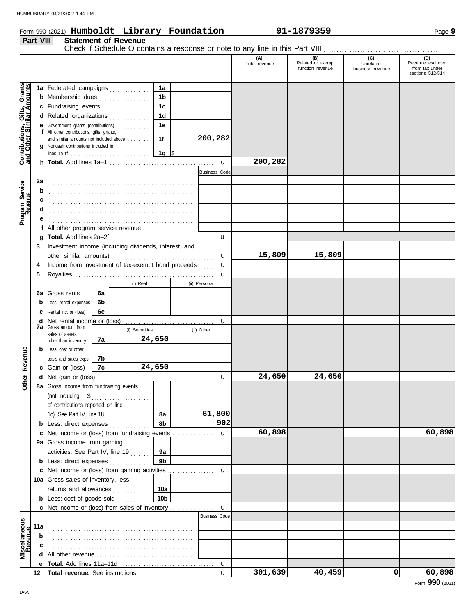**Part VIII Statement of Revenue**

# Form 990 (2021) Page **9 Humboldt Library Foundation 91-1879359**  $\blacksquare$

|                                                           |        |                                                                                  |    |                |                 |                      | (A)<br>Total revenue | (B)<br>Related or exempt<br>function revenue | (C)<br>Unrelated<br>business revenue | (D)<br>Revenue excluded<br>from tax under<br>sections 512-514 |
|-----------------------------------------------------------|--------|----------------------------------------------------------------------------------|----|----------------|-----------------|----------------------|----------------------|----------------------------------------------|--------------------------------------|---------------------------------------------------------------|
|                                                           |        |                                                                                  |    |                |                 |                      |                      |                                              |                                      |                                                               |
| Contributions, Gifts, Grants<br>and Other Similar Amounts |        | 1a Federated campaigns                                                           |    |                | 1a              |                      |                      |                                              |                                      |                                                               |
|                                                           |        | <b>b</b> Membership dues                                                         |    |                | 1 <sub>b</sub>  |                      |                      |                                              |                                      |                                                               |
|                                                           |        | c Fundraising events                                                             |    |                | 1 <sub>c</sub>  |                      |                      |                                              |                                      |                                                               |
|                                                           |        | d Related organizations                                                          |    |                | 1 <sub>d</sub>  |                      |                      |                                              |                                      |                                                               |
|                                                           |        | e Government grants (contributions)<br>f All other contributions, gifts, grants, |    |                | 1e              |                      |                      |                                              |                                      |                                                               |
|                                                           |        | and similar amounts not included above                                           |    |                | 1f              | 200,282              |                      |                                              |                                      |                                                               |
|                                                           |        | g Noncash contributions included in                                              |    |                |                 |                      |                      |                                              |                                      |                                                               |
|                                                           |        |                                                                                  |    |                | 1g  \$          |                      | 200,282              |                                              |                                      |                                                               |
|                                                           |        |                                                                                  |    |                |                 | $\mathbf{u}$         |                      |                                              |                                      |                                                               |
|                                                           |        |                                                                                  |    |                |                 | <b>Business Code</b> |                      |                                              |                                      |                                                               |
|                                                           | 2a     |                                                                                  |    |                |                 |                      |                      |                                              |                                      |                                                               |
|                                                           | b      |                                                                                  |    |                |                 |                      |                      |                                              |                                      |                                                               |
| Program Service<br>Revenue                                | c      |                                                                                  |    |                |                 |                      |                      |                                              |                                      |                                                               |
|                                                           | d      |                                                                                  |    |                |                 |                      |                      |                                              |                                      |                                                               |
|                                                           | е      | f All other program service revenue $\ldots$ $\ldots$ $\ldots$                   |    |                |                 |                      |                      |                                              |                                      |                                                               |
|                                                           |        |                                                                                  |    |                |                 |                      |                      |                                              |                                      |                                                               |
|                                                           | 3      | Investment income (including dividends, interest, and                            |    |                |                 |                      |                      |                                              |                                      |                                                               |
|                                                           |        | other similar amounts)                                                           |    |                |                 |                      | 15,809               | 15,809                                       |                                      |                                                               |
|                                                           |        | Income from investment of tax-exempt bond proceeds                               |    |                |                 | u                    |                      |                                              |                                      |                                                               |
|                                                           | 4<br>5 |                                                                                  |    |                |                 | u                    |                      |                                              |                                      |                                                               |
|                                                           |        |                                                                                  |    | (i) Real       |                 | u<br>(ii) Personal   |                      |                                              |                                      |                                                               |
|                                                           |        |                                                                                  |    |                |                 |                      |                      |                                              |                                      |                                                               |
|                                                           |        | 6a Gross rents                                                                   | 6a |                |                 |                      |                      |                                              |                                      |                                                               |
|                                                           |        | <b>b</b> Less: rental expenses                                                   | 6b |                |                 |                      |                      |                                              |                                      |                                                               |
|                                                           |        | <b>c</b> Rental inc. or (loss)                                                   | 6c |                |                 |                      |                      |                                              |                                      |                                                               |
|                                                           |        | <b>7a</b> Gross amount from                                                      |    | (i) Securities |                 | u<br>(ii) Other      |                      |                                              |                                      |                                                               |
|                                                           |        | sales of assets                                                                  | 7a |                | 24,650          |                      |                      |                                              |                                      |                                                               |
|                                                           |        | other than inventory<br><b>b</b> Less: cost or other                             |    |                |                 |                      |                      |                                              |                                      |                                                               |
|                                                           |        | basis and sales exps.                                                            | 7b |                |                 |                      |                      |                                              |                                      |                                                               |
|                                                           |        | c Gain or (loss)                                                                 | 7c |                | 24,650          |                      |                      |                                              |                                      |                                                               |
| Other Revenue                                             |        |                                                                                  |    |                |                 | u                    | 24,650               | 24,650                                       |                                      |                                                               |
|                                                           |        | 8a Gross income from fundraising events                                          |    |                |                 |                      |                      |                                              |                                      |                                                               |
|                                                           |        |                                                                                  |    |                |                 |                      |                      |                                              |                                      |                                                               |
|                                                           |        | of contributions reported on line                                                |    |                |                 |                      |                      |                                              |                                      |                                                               |
|                                                           |        | 1c). See Part IV, line 18                                                        |    |                | 8а              | 61,800               |                      |                                              |                                      |                                                               |
|                                                           |        | <b>b</b> Less: direct expenses                                                   |    |                | 8b              | 902                  |                      |                                              |                                      |                                                               |
|                                                           |        | c Net income or (loss) from fundraising events                                   |    |                |                 | $\mathbf{u}$         | 60,898               |                                              |                                      | 60,898                                                        |
|                                                           |        | 9a Gross income from gaming                                                      |    |                |                 |                      |                      |                                              |                                      |                                                               |
|                                                           |        | activities. See Part IV, line 19                                                 |    |                | 9а              |                      |                      |                                              |                                      |                                                               |
|                                                           |        | <b>b</b> Less: direct expenses                                                   |    |                | 9 <sub>b</sub>  |                      |                      |                                              |                                      |                                                               |
|                                                           |        |                                                                                  |    |                |                 | u                    |                      |                                              |                                      |                                                               |
|                                                           |        | 10a Gross sales of inventory, less                                               |    |                |                 |                      |                      |                                              |                                      |                                                               |
|                                                           |        | returns and allowances                                                           |    |                | 10a             |                      |                      |                                              |                                      |                                                               |
|                                                           |        | <b>b</b> Less: cost of goods sold                                                |    |                | 10 <sub>b</sub> |                      |                      |                                              |                                      |                                                               |
|                                                           |        |                                                                                  |    |                |                 | $\mathbf{u}$         |                      |                                              |                                      |                                                               |
|                                                           |        |                                                                                  |    |                |                 | <b>Business Code</b> |                      |                                              |                                      |                                                               |
|                                                           | 11a    |                                                                                  |    |                |                 |                      |                      |                                              |                                      |                                                               |
| Miscellaneous<br>Revenue                                  | b      |                                                                                  |    |                |                 |                      |                      |                                              |                                      |                                                               |
|                                                           | c      |                                                                                  |    |                |                 |                      |                      |                                              |                                      |                                                               |
|                                                           | d      |                                                                                  |    |                |                 |                      |                      |                                              |                                      |                                                               |
|                                                           |        |                                                                                  |    |                |                 |                      |                      |                                              |                                      |                                                               |
|                                                           | 12     |                                                                                  |    |                |                 | $\mathbf{u}$         | 301,639              | 40,459                                       | 0                                    | 60,898                                                        |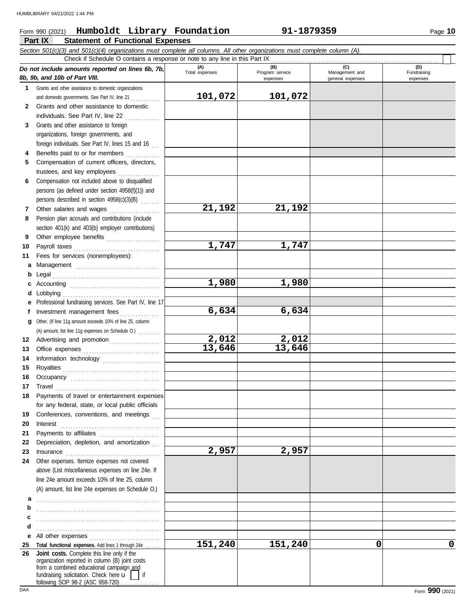# **Part IX Statement of Functional Expenses** Form 990 (2021) Page **10 Humboldt Library Foundation 91-1879359**

|              | Section 501(c)(3) and 501(c)(4) organizations must complete all columns. All other organizations must complete column (A).<br>Check if Schedule O contains a response or note to any line in this Part IX                                                                                                                                                                                                                                                                                                                   |                       |                                    |                                           |                                |
|--------------|-----------------------------------------------------------------------------------------------------------------------------------------------------------------------------------------------------------------------------------------------------------------------------------------------------------------------------------------------------------------------------------------------------------------------------------------------------------------------------------------------------------------------------|-----------------------|------------------------------------|-------------------------------------------|--------------------------------|
|              | Do not include amounts reported on lines 6b, 7b,<br>8b, 9b, and 10b of Part VIII.                                                                                                                                                                                                                                                                                                                                                                                                                                           | (A)<br>Total expenses | (B)<br>Program service<br>expenses | (C)<br>Management and<br>general expenses | (D)<br>Fundraising<br>expenses |
| 1.           | Grants and other assistance to domestic organizations                                                                                                                                                                                                                                                                                                                                                                                                                                                                       |                       |                                    |                                           |                                |
|              | and domestic governments. See Part IV, line 21                                                                                                                                                                                                                                                                                                                                                                                                                                                                              | 101,072               | 101,072                            |                                           |                                |
| $\mathbf{2}$ | Grants and other assistance to domestic                                                                                                                                                                                                                                                                                                                                                                                                                                                                                     |                       |                                    |                                           |                                |
|              | individuals. See Part IV, line 22                                                                                                                                                                                                                                                                                                                                                                                                                                                                                           |                       |                                    |                                           |                                |
| 3            | Grants and other assistance to foreign                                                                                                                                                                                                                                                                                                                                                                                                                                                                                      |                       |                                    |                                           |                                |
|              | organizations, foreign governments, and                                                                                                                                                                                                                                                                                                                                                                                                                                                                                     |                       |                                    |                                           |                                |
|              | foreign individuals. See Part IV, lines 15 and 16                                                                                                                                                                                                                                                                                                                                                                                                                                                                           |                       |                                    |                                           |                                |
| 4            | Benefits paid to or for members                                                                                                                                                                                                                                                                                                                                                                                                                                                                                             |                       |                                    |                                           |                                |
| 5.           | Compensation of current officers, directors,                                                                                                                                                                                                                                                                                                                                                                                                                                                                                |                       |                                    |                                           |                                |
|              | trustees, and key employees                                                                                                                                                                                                                                                                                                                                                                                                                                                                                                 |                       |                                    |                                           |                                |
| 6            | Compensation not included above to disqualified                                                                                                                                                                                                                                                                                                                                                                                                                                                                             |                       |                                    |                                           |                                |
|              | persons (as defined under section 4958(f)(1)) and                                                                                                                                                                                                                                                                                                                                                                                                                                                                           |                       |                                    |                                           |                                |
|              | persons described in section 4958(c)(3)(B)                                                                                                                                                                                                                                                                                                                                                                                                                                                                                  |                       |                                    |                                           |                                |
| 7            | Other salaries and wages                                                                                                                                                                                                                                                                                                                                                                                                                                                                                                    | 21,192                | 21,192                             |                                           |                                |
| 8            | Pension plan accruals and contributions (include                                                                                                                                                                                                                                                                                                                                                                                                                                                                            |                       |                                    |                                           |                                |
|              | section 401(k) and 403(b) employer contributions)                                                                                                                                                                                                                                                                                                                                                                                                                                                                           |                       |                                    |                                           |                                |
| 9            | Other employee benefits                                                                                                                                                                                                                                                                                                                                                                                                                                                                                                     |                       |                                    |                                           |                                |
| 10           |                                                                                                                                                                                                                                                                                                                                                                                                                                                                                                                             | 1,747                 | 1,747                              |                                           |                                |
| 11           | Fees for services (nonemployees):                                                                                                                                                                                                                                                                                                                                                                                                                                                                                           |                       |                                    |                                           |                                |
| а            | Management                                                                                                                                                                                                                                                                                                                                                                                                                                                                                                                  |                       |                                    |                                           |                                |
| b            |                                                                                                                                                                                                                                                                                                                                                                                                                                                                                                                             |                       |                                    |                                           |                                |
| c            |                                                                                                                                                                                                                                                                                                                                                                                                                                                                                                                             | 1,980                 | 1,980                              |                                           |                                |
| d            | Lobbying                                                                                                                                                                                                                                                                                                                                                                                                                                                                                                                    |                       |                                    |                                           |                                |
| е            | Professional fundraising services. See Part IV, line 17                                                                                                                                                                                                                                                                                                                                                                                                                                                                     |                       |                                    |                                           |                                |
| f            | Investment management fees                                                                                                                                                                                                                                                                                                                                                                                                                                                                                                  | 6,634                 | 6,634                              |                                           |                                |
| q            | Other. (If line 11g amount exceeds 10% of line 25, column                                                                                                                                                                                                                                                                                                                                                                                                                                                                   |                       |                                    |                                           |                                |
|              | (A) amount, list line 11g expenses on Schedule O.)                                                                                                                                                                                                                                                                                                                                                                                                                                                                          |                       |                                    |                                           |                                |
|              | 12 Advertising and promotion                                                                                                                                                                                                                                                                                                                                                                                                                                                                                                | 2,012                 | 2,012                              |                                           |                                |
| 13           |                                                                                                                                                                                                                                                                                                                                                                                                                                                                                                                             | 13,646                | 13,646                             |                                           |                                |
| 14           | Information technology                                                                                                                                                                                                                                                                                                                                                                                                                                                                                                      |                       |                                    |                                           |                                |
| 15           |                                                                                                                                                                                                                                                                                                                                                                                                                                                                                                                             |                       |                                    |                                           |                                |
| 16           |                                                                                                                                                                                                                                                                                                                                                                                                                                                                                                                             |                       |                                    |                                           |                                |
| 17           | $\begin{minipage}[c]{0.9\linewidth} \begin{tabular}{l} \textbf{True} \end{tabular} \end{minipage} \begin{minipage}[c]{0.9\linewidth} \begin{tabular}{l} \textbf{True} \end{tabular} \end{minipage} \end{minipage} \begin{minipage}[c]{0.9\linewidth} \begin{tabular}{l} \textbf{True} \end{tabular} \end{minipage} \end{minipage} \begin{minipage}[c]{0.9\linewidth} \begin{tabular}{l} \textbf{True} \end{tabular} \end{minipage} \end{minipage} \begin{minipage}[c]{0.9\linewidth} \begin{tabular}{l} \textbf{True} \end$ |                       |                                    |                                           |                                |
| 18           | Payments of travel or entertainment expenses                                                                                                                                                                                                                                                                                                                                                                                                                                                                                |                       |                                    |                                           |                                |
|              | for any federal, state, or local public officials                                                                                                                                                                                                                                                                                                                                                                                                                                                                           |                       |                                    |                                           |                                |
| 19           | Conferences, conventions, and meetings                                                                                                                                                                                                                                                                                                                                                                                                                                                                                      |                       |                                    |                                           |                                |
| 20           | $Interest \n\begin{array}{ccc}\n &  &  &  &  &  &  &  &  &  & \n\end{array}$                                                                                                                                                                                                                                                                                                                                                                                                                                                |                       |                                    |                                           |                                |
| 21           | Payments to affiliates                                                                                                                                                                                                                                                                                                                                                                                                                                                                                                      |                       |                                    |                                           |                                |
| 22<br>23     | Depreciation, depletion, and amortization                                                                                                                                                                                                                                                                                                                                                                                                                                                                                   | 2,957                 | 2,957                              |                                           |                                |
| 24           | $In surface \begin{equation} \begin{minipage}{0.5\textwidth} \begin{tabular}{@{}l@{}} \hline \multicolumn{1}{@{}l@{}} \multicolumn{1}{@{}l@{}} \multicolumn{1}{@{}l@{}} \multicolumn{1}{@{}l@{}} \multicolumn{1}{@{}l@{}} \multicolumn{1}{@{}l@{}} \multicolumn{1}{@{}l@{}} \multicolumn{1}{@{}l@{}} \multicolumn{1}{@{}l@{}} \multicolumn{1}{@{}l@{}} \multicolumn{1}{@{}l@{}} \multicolumn{1}{@{}l@{}} \multicolumn{1}{@{}l@{}} \multicolumn{1}{@{}l@{}} \$<br>Other expenses. Itemize expenses not covered               |                       |                                    |                                           |                                |
|              | above (List miscellaneous expenses on line 24e. If                                                                                                                                                                                                                                                                                                                                                                                                                                                                          |                       |                                    |                                           |                                |
|              | line 24e amount exceeds 10% of line 25, column                                                                                                                                                                                                                                                                                                                                                                                                                                                                              |                       |                                    |                                           |                                |
|              | (A) amount, list line 24e expenses on Schedule O.)                                                                                                                                                                                                                                                                                                                                                                                                                                                                          |                       |                                    |                                           |                                |
| а            |                                                                                                                                                                                                                                                                                                                                                                                                                                                                                                                             |                       |                                    |                                           |                                |
| b            |                                                                                                                                                                                                                                                                                                                                                                                                                                                                                                                             |                       |                                    |                                           |                                |
| c            |                                                                                                                                                                                                                                                                                                                                                                                                                                                                                                                             |                       |                                    |                                           |                                |
| d            |                                                                                                                                                                                                                                                                                                                                                                                                                                                                                                                             |                       |                                    |                                           |                                |
|              |                                                                                                                                                                                                                                                                                                                                                                                                                                                                                                                             |                       |                                    |                                           |                                |
| 25           | Total functional expenses. Add lines 1 through 24e                                                                                                                                                                                                                                                                                                                                                                                                                                                                          | 151,240               | 151,240                            | 0                                         | $\mathbf 0$                    |
| 26           | Joint costs. Complete this line only if the<br>organization reported in column (B) joint costs<br>from a combined educational campaign and<br>fundraising solicitation. Check here $\mathbf{u}$<br>if<br>following SOP 98-2 (ASC 958-720).                                                                                                                                                                                                                                                                                  |                       |                                    |                                           |                                |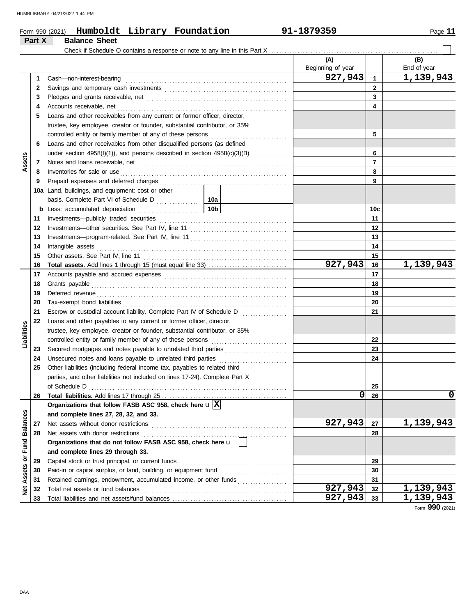| ane, |  |
|------|--|
|      |  |

|                      |        | Form 990 (2021) Humboldt Library Foundation                                                                                                                                                                                         |  | 91-1879359               |                | Page 11            |
|----------------------|--------|-------------------------------------------------------------------------------------------------------------------------------------------------------------------------------------------------------------------------------------|--|--------------------------|----------------|--------------------|
|                      | Part X | <b>Balance Sheet</b>                                                                                                                                                                                                                |  |                          |                |                    |
|                      |        |                                                                                                                                                                                                                                     |  |                          |                |                    |
|                      |        |                                                                                                                                                                                                                                     |  | (A)<br>Beginning of year |                | (B)<br>End of year |
|                      | 1      | Cash-non-interest-bearing                                                                                                                                                                                                           |  | 927,943                  | $\mathbf{1}$   | 1,139,943          |
|                      | 2      |                                                                                                                                                                                                                                     |  |                          | $\mathbf{2}$   |                    |
|                      | 3      |                                                                                                                                                                                                                                     |  | 3                        |                |                    |
|                      | 4      |                                                                                                                                                                                                                                     |  | 4                        |                |                    |
|                      | 5      | Loans and other receivables from any current or former officer, director,                                                                                                                                                           |  |                          |                |                    |
|                      |        | trustee, key employee, creator or founder, substantial contributor, or 35%                                                                                                                                                          |  |                          |                |                    |
|                      |        |                                                                                                                                                                                                                                     |  | 5                        |                |                    |
|                      | 6      | Loans and other receivables from other disqualified persons (as defined                                                                                                                                                             |  |                          |                |                    |
|                      |        | under section 4958(f)(1)), and persons described in section 4958(c)(3)(B)                                                                                                                                                           |  |                          | 6              |                    |
| Assets               | 7      |                                                                                                                                                                                                                                     |  |                          | $\overline{7}$ |                    |
|                      | 8      | Inventories for sale or use <i>communication</i> and the state of the state of the state of the state of the state of the state of the state of the state of the state of the state of the state of the state of the state of the s |  |                          | 8              |                    |
|                      | 9      |                                                                                                                                                                                                                                     |  |                          | 9              |                    |
|                      |        | 10a Land, buildings, and equipment: cost or other                                                                                                                                                                                   |  |                          |                |                    |
|                      |        |                                                                                                                                                                                                                                     |  |                          |                |                    |
|                      |        |                                                                                                                                                                                                                                     |  |                          | 10c            |                    |
|                      | 11     |                                                                                                                                                                                                                                     |  |                          | 11             |                    |
|                      | 12     |                                                                                                                                                                                                                                     |  |                          | 12             |                    |
|                      | 13     |                                                                                                                                                                                                                                     |  |                          | 13             |                    |
|                      | 14     |                                                                                                                                                                                                                                     |  | 14                       |                |                    |
|                      | 15     |                                                                                                                                                                                                                                     |  |                          | 15             |                    |
|                      | 16     |                                                                                                                                                                                                                                     |  | 927,943                  | 16             | 1,139,943          |
|                      | 17     |                                                                                                                                                                                                                                     |  |                          | 17             |                    |
|                      | 18     |                                                                                                                                                                                                                                     |  |                          | 18             |                    |
|                      | 19     |                                                                                                                                                                                                                                     |  |                          | 19             |                    |
|                      | 20     |                                                                                                                                                                                                                                     |  |                          | 20             |                    |
|                      | 21     | Escrow or custodial account liability. Complete Part IV of Schedule D                                                                                                                                                               |  |                          | 21             |                    |
|                      | 22     | Loans and other payables to any current or former officer, director,                                                                                                                                                                |  |                          |                |                    |
| Liabilities          |        | trustee, key employee, creator or founder, substantial contributor, or 35%                                                                                                                                                          |  |                          |                |                    |
|                      |        | controlled entity or family member of any of these persons [1] [1] [1] controlled entity or family member of any of these persons                                                                                                   |  |                          | 22             |                    |
|                      | 23     | Secured mortgages and notes payable to unrelated third parties                                                                                                                                                                      |  |                          | 23             |                    |
|                      | 24     | Unsecured notes and loans payable to unrelated third parties                                                                                                                                                                        |  |                          | 24             |                    |
|                      | 25     | Other liabilities (including federal income tax, payables to related third                                                                                                                                                          |  |                          |                |                    |
|                      |        | parties, and other liabilities not included on lines 17-24). Complete Part X                                                                                                                                                        |  |                          |                |                    |
|                      |        | of Schedule D                                                                                                                                                                                                                       |  |                          | 25             |                    |
|                      | 26     |                                                                                                                                                                                                                                     |  | $\mathbf 0$              | 26             | 0                  |
|                      |        | Organizations that follow FASB ASC 958, check here $\mathbf{u} \overline{X}$                                                                                                                                                        |  |                          |                |                    |
| <b>Fund Balances</b> |        | and complete lines 27, 28, 32, and 33.                                                                                                                                                                                              |  |                          |                |                    |
|                      | 27     |                                                                                                                                                                                                                                     |  | 927,943                  | 27             | 1,139,943          |
|                      | 28     | Net assets with donor restrictions                                                                                                                                                                                                  |  |                          | 28             |                    |
|                      |        | Organizations that do not follow FASB ASC 958, check here u                                                                                                                                                                         |  |                          |                |                    |
|                      |        | and complete lines 29 through 33.                                                                                                                                                                                                   |  |                          |                |                    |
| Assets or            | 29     |                                                                                                                                                                                                                                     |  |                          | 29             |                    |
|                      | 30     |                                                                                                                                                                                                                                     |  |                          | 30             |                    |
|                      | 31     |                                                                                                                                                                                                                                     |  |                          | 31             |                    |
| <b>Met</b>           | 32     |                                                                                                                                                                                                                                     |  | 927,943                  | 32             | 1,139,943          |
|                      | 33     |                                                                                                                                                                                                                                     |  | $927, 943$ 33            |                | 1,139,943          |

Form **990** (2021)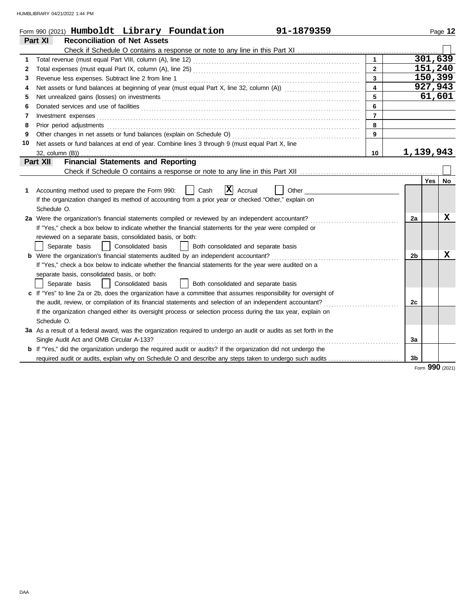|    | 91-1879359<br>Form 990 (2021) Humboldt Library Foundation                                                                                                                                                                                                                                                                                                                                                                                                                               |                         |                |          | Page 12   |
|----|-----------------------------------------------------------------------------------------------------------------------------------------------------------------------------------------------------------------------------------------------------------------------------------------------------------------------------------------------------------------------------------------------------------------------------------------------------------------------------------------|-------------------------|----------------|----------|-----------|
|    | <b>Reconciliation of Net Assets</b><br>Part XI                                                                                                                                                                                                                                                                                                                                                                                                                                          |                         |                |          |           |
|    |                                                                                                                                                                                                                                                                                                                                                                                                                                                                                         |                         |                |          |           |
| 1  |                                                                                                                                                                                                                                                                                                                                                                                                                                                                                         | $\mathbf{1}$            |                | 301, 639 |           |
| 2  |                                                                                                                                                                                                                                                                                                                                                                                                                                                                                         | $\mathbf{2}$            |                | 151,240  |           |
| 3  |                                                                                                                                                                                                                                                                                                                                                                                                                                                                                         | $\overline{3}$          |                |          | 150,399   |
| 4  |                                                                                                                                                                                                                                                                                                                                                                                                                                                                                         | $\overline{\mathbf{4}}$ |                | 927,943  |           |
| 5  |                                                                                                                                                                                                                                                                                                                                                                                                                                                                                         | 5                       |                | 61,601   |           |
| 6  |                                                                                                                                                                                                                                                                                                                                                                                                                                                                                         | 6                       |                |          |           |
| 7  | $Investment \textit{ expenses} \textit{________} \label{ex:ex:ex:1} \begin{minipage}[c]{0.9\linewidth} \textit{Investment} \textit{expenses} \end{minipage} \begin{minipage}[c]{0.9\linewidth} \textit{ex:1} & \textit{if} \textit{if} \textit{if} \textit{if} \textit{if} \textit{if} \textit{if} \textit{if} \textit{if} \textit{if} \textit{if} \textit{if} \textit{if} \textit{if} \textit{if} \textit{if} \textit{if} \textit{if} \textit{if} \textit{if} \textit{if} \textit{if}$ | $\overline{7}$          |                |          |           |
| 8  | Prior period adjustments [11] production and contact the contact of the contact of the contact of the contact of the contact of the contact of the contact of the contact of the contact of the contact of the contact of the                                                                                                                                                                                                                                                           | $\bf{8}$                |                |          |           |
| 9  |                                                                                                                                                                                                                                                                                                                                                                                                                                                                                         | $\mathbf{9}$            |                |          |           |
| 10 | Net assets or fund balances at end of year. Combine lines 3 through 9 (must equal Part X, line                                                                                                                                                                                                                                                                                                                                                                                          |                         |                |          |           |
|    |                                                                                                                                                                                                                                                                                                                                                                                                                                                                                         | 10                      | 1,139,943      |          |           |
|    | <b>Financial Statements and Reporting</b><br>Part XII                                                                                                                                                                                                                                                                                                                                                                                                                                   |                         |                |          |           |
|    |                                                                                                                                                                                                                                                                                                                                                                                                                                                                                         |                         |                |          |           |
|    |                                                                                                                                                                                                                                                                                                                                                                                                                                                                                         |                         |                | Yes      | <b>No</b> |
| 1  | $ \mathbf{X} $ Accrual<br>Accounting method used to prepare the Form 990:<br>Cash<br>Other                                                                                                                                                                                                                                                                                                                                                                                              |                         |                |          |           |
|    | If the organization changed its method of accounting from a prior year or checked "Other," explain on                                                                                                                                                                                                                                                                                                                                                                                   |                         |                |          |           |
|    | Schedule O.                                                                                                                                                                                                                                                                                                                                                                                                                                                                             |                         |                |          |           |
|    | 2a Were the organization's financial statements compiled or reviewed by an independent accountant?                                                                                                                                                                                                                                                                                                                                                                                      |                         | 2a             |          | x         |
|    | If "Yes," check a box below to indicate whether the financial statements for the year were compiled or                                                                                                                                                                                                                                                                                                                                                                                  |                         |                |          |           |
|    | reviewed on a separate basis, consolidated basis, or both:                                                                                                                                                                                                                                                                                                                                                                                                                              |                         |                |          |           |
|    | Consolidated basis<br>Separate basis<br>Both consolidated and separate basis                                                                                                                                                                                                                                                                                                                                                                                                            |                         |                |          |           |
|    |                                                                                                                                                                                                                                                                                                                                                                                                                                                                                         |                         | 2 <sub>b</sub> |          | x         |
|    | If "Yes," check a box below to indicate whether the financial statements for the year were audited on a                                                                                                                                                                                                                                                                                                                                                                                 |                         |                |          |           |
|    | separate basis, consolidated basis, or both:                                                                                                                                                                                                                                                                                                                                                                                                                                            |                         |                |          |           |
|    | Separate basis<br>  Consolidated basis<br>Both consolidated and separate basis                                                                                                                                                                                                                                                                                                                                                                                                          |                         |                |          |           |
|    | c If "Yes" to line 2a or 2b, does the organization have a committee that assumes responsibility for oversight of                                                                                                                                                                                                                                                                                                                                                                        |                         |                |          |           |
|    | the audit, review, or compilation of its financial statements and selection of an independent accountant?                                                                                                                                                                                                                                                                                                                                                                               |                         | 2c             |          |           |
|    | If the organization changed either its oversight process or selection process during the tax year, explain on                                                                                                                                                                                                                                                                                                                                                                           |                         |                |          |           |
|    | Schedule O.                                                                                                                                                                                                                                                                                                                                                                                                                                                                             |                         |                |          |           |
|    | 3a As a result of a federal award, was the organization required to undergo an audit or audits as set forth in the                                                                                                                                                                                                                                                                                                                                                                      |                         |                |          |           |
|    | Single Audit Act and OMB Circular A-133?                                                                                                                                                                                                                                                                                                                                                                                                                                                |                         | За             |          |           |
|    | <b>b</b> If "Yes," did the organization undergo the required audit or audits? If the organization did not undergo the                                                                                                                                                                                                                                                                                                                                                                   |                         |                |          |           |
|    | required audit or audits, explain why on Schedule O and describe any steps taken to undergo such audits                                                                                                                                                                                                                                                                                                                                                                                 |                         | 3b             |          |           |

Form **990** (2021)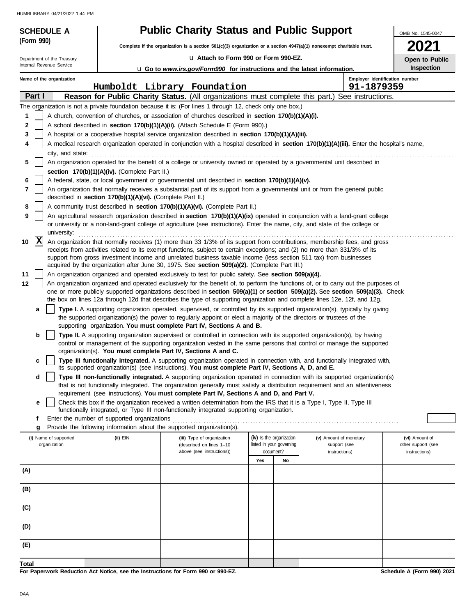| <b>SCHEDULE A</b>          |                                                            | <b>Public Charity Status and Public Support</b>                                                                                                                                       |                                       |                                                                                                                                                                                                                                                                       | OMB No. 1545-0047                   |
|----------------------------|------------------------------------------------------------|---------------------------------------------------------------------------------------------------------------------------------------------------------------------------------------|---------------------------------------|-----------------------------------------------------------------------------------------------------------------------------------------------------------------------------------------------------------------------------------------------------------------------|-------------------------------------|
| (Form 990)                 |                                                            | Complete if the organization is a section $501(c)(3)$ organization or a section $4947(a)(1)$ nonexempt charitable trust.                                                              |                                       |                                                                                                                                                                                                                                                                       |                                     |
| Department of the Treasury |                                                            | u Attach to Form 990 or Form 990-EZ.                                                                                                                                                  |                                       |                                                                                                                                                                                                                                                                       | Open to Public                      |
| Internal Revenue Service   |                                                            | <b>u</b> Go to <i>www.irs.gov/Form990</i> for instructions and the latest information.                                                                                                |                                       |                                                                                                                                                                                                                                                                       | Inspection                          |
| Name of the organization   |                                                            |                                                                                                                                                                                       |                                       | Employer identification number                                                                                                                                                                                                                                        |                                     |
|                            |                                                            | Humboldt Library Foundation                                                                                                                                                           |                                       | 91-1879359                                                                                                                                                                                                                                                            |                                     |
| Part I                     |                                                            |                                                                                                                                                                                       |                                       | Reason for Public Charity Status. (All organizations must complete this part.) See instructions.                                                                                                                                                                      |                                     |
|                            |                                                            | The organization is not a private foundation because it is: (For lines 1 through 12, check only one box.)                                                                             |                                       |                                                                                                                                                                                                                                                                       |                                     |
| 1<br>2                     |                                                            | A church, convention of churches, or association of churches described in section 170(b)(1)(A)(i).<br>A school described in section 170(b)(1)(A)(ii). (Attach Schedule E (Form 990).) |                                       |                                                                                                                                                                                                                                                                       |                                     |
| 3                          |                                                            | A hospital or a cooperative hospital service organization described in section 170(b)(1)(A)(iii).                                                                                     |                                       |                                                                                                                                                                                                                                                                       |                                     |
| 4                          |                                                            |                                                                                                                                                                                       |                                       | A medical research organization operated in conjunction with a hospital described in section 170(b)(1)(A)(iii). Enter the hospital's name,                                                                                                                            |                                     |
| city, and state:           |                                                            |                                                                                                                                                                                       |                                       |                                                                                                                                                                                                                                                                       |                                     |
| 5                          |                                                            |                                                                                                                                                                                       |                                       | An organization operated for the benefit of a college or university owned or operated by a governmental unit described in                                                                                                                                             |                                     |
|                            | section 170(b)(1)(A)(iv). (Complete Part II.)              |                                                                                                                                                                                       |                                       |                                                                                                                                                                                                                                                                       |                                     |
| 6                          |                                                            | A federal, state, or local government or governmental unit described in section 170(b)(1)(A)(v).                                                                                      |                                       |                                                                                                                                                                                                                                                                       |                                     |
| $\overline{7}$             | described in section 170(b)(1)(A)(vi). (Complete Part II.) |                                                                                                                                                                                       |                                       | An organization that normally receives a substantial part of its support from a governmental unit or from the general public                                                                                                                                          |                                     |
| 8                          |                                                            | A community trust described in section 170(b)(1)(A)(vi). (Complete Part II.)                                                                                                          |                                       |                                                                                                                                                                                                                                                                       |                                     |
| 9                          |                                                            |                                                                                                                                                                                       |                                       | An agricultural research organization described in section 170(b)(1)(A)(ix) operated in conjunction with a land-grant college                                                                                                                                         |                                     |
|                            |                                                            |                                                                                                                                                                                       |                                       | or university or a non-land-grant college of agriculture (see instructions). Enter the name, city, and state of the college or                                                                                                                                        |                                     |
| university:                |                                                            |                                                                                                                                                                                       |                                       |                                                                                                                                                                                                                                                                       |                                     |
| $ {\bf x} $<br>10          |                                                            |                                                                                                                                                                                       |                                       | An organization that normally receives (1) more than 33 1/3% of its support from contributions, membership fees, and gross<br>receipts from activities related to its exempt functions, subject to certain exceptions; and (2) no more than 331/3% of its             |                                     |
|                            |                                                            | support from gross investment income and unrelated business taxable income (less section 511 tax) from businesses                                                                     |                                       |                                                                                                                                                                                                                                                                       |                                     |
|                            |                                                            | acquired by the organization after June 30, 1975. See section 509(a)(2). (Complete Part III.)                                                                                         |                                       |                                                                                                                                                                                                                                                                       |                                     |
| 11                         |                                                            | An organization organized and operated exclusively to test for public safety. See section 509(a)(4).                                                                                  |                                       |                                                                                                                                                                                                                                                                       |                                     |
| 12                         |                                                            |                                                                                                                                                                                       |                                       | An organization organized and operated exclusively for the benefit of, to perform the functions of, or to carry out the purposes of<br>one or more publicly supported organizations described in section 509(a)(1) or section 509(a)(2). See section 509(a)(3). Check |                                     |
|                            |                                                            |                                                                                                                                                                                       |                                       | the box on lines 12a through 12d that describes the type of supporting organization and complete lines 12e, 12f, and 12g.                                                                                                                                             |                                     |
| a                          |                                                            |                                                                                                                                                                                       |                                       | Type I. A supporting organization operated, supervised, or controlled by its supported organization(s), typically by giving                                                                                                                                           |                                     |
|                            |                                                            | the supported organization(s) the power to regularly appoint or elect a majority of the directors or trustees of the                                                                  |                                       |                                                                                                                                                                                                                                                                       |                                     |
| b                          |                                                            | supporting organization. You must complete Part IV, Sections A and B.                                                                                                                 |                                       | Type II. A supporting organization supervised or controlled in connection with its supported organization(s), by having                                                                                                                                               |                                     |
|                            |                                                            |                                                                                                                                                                                       |                                       | control or management of the supporting organization vested in the same persons that control or manage the supported                                                                                                                                                  |                                     |
|                            |                                                            | organization(s). You must complete Part IV, Sections A and C.                                                                                                                         |                                       |                                                                                                                                                                                                                                                                       |                                     |
|                            |                                                            |                                                                                                                                                                                       |                                       | Type III functionally integrated. A supporting organization operated in connection with, and functionally integrated with,                                                                                                                                            |                                     |
| d                          |                                                            | its supported organization(s) (see instructions). You must complete Part IV, Sections A, D, and E.                                                                                    |                                       | Type III non-functionally integrated. A supporting organization operated in connection with its supported organization(s)                                                                                                                                             |                                     |
|                            |                                                            |                                                                                                                                                                                       |                                       | that is not functionally integrated. The organization generally must satisfy a distribution requirement and an attentiveness                                                                                                                                          |                                     |
|                            |                                                            | requirement (see instructions). You must complete Part IV, Sections A and D, and Part V.                                                                                              |                                       |                                                                                                                                                                                                                                                                       |                                     |
| е                          |                                                            | Check this box if the organization received a written determination from the IRS that it is a Type I, Type II, Type III                                                               |                                       |                                                                                                                                                                                                                                                                       |                                     |
| f                          | Enter the number of supported organizations                | functionally integrated, or Type III non-functionally integrated supporting organization.                                                                                             |                                       |                                                                                                                                                                                                                                                                       |                                     |
| g                          |                                                            | Provide the following information about the supported organization(s).                                                                                                                |                                       |                                                                                                                                                                                                                                                                       |                                     |
| (i) Name of supported      | (ii) EIN                                                   | (iii) Type of organization                                                                                                                                                            | (iv) Is the organization              | (v) Amount of monetary                                                                                                                                                                                                                                                | (vi) Amount of                      |
| organization               |                                                            | (described on lines 1-10<br>above (see instructions))                                                                                                                                 | listed in your governing<br>document? | support (see<br>instructions)                                                                                                                                                                                                                                         | other support (see<br>instructions) |
|                            |                                                            |                                                                                                                                                                                       | Yes<br>No                             |                                                                                                                                                                                                                                                                       |                                     |
| (A)                        |                                                            |                                                                                                                                                                                       |                                       |                                                                                                                                                                                                                                                                       |                                     |
|                            |                                                            |                                                                                                                                                                                       |                                       |                                                                                                                                                                                                                                                                       |                                     |
| (B)                        |                                                            |                                                                                                                                                                                       |                                       |                                                                                                                                                                                                                                                                       |                                     |
|                            |                                                            |                                                                                                                                                                                       |                                       |                                                                                                                                                                                                                                                                       |                                     |
| (C)                        |                                                            |                                                                                                                                                                                       |                                       |                                                                                                                                                                                                                                                                       |                                     |
| (D)                        |                                                            |                                                                                                                                                                                       |                                       |                                                                                                                                                                                                                                                                       |                                     |
|                            |                                                            |                                                                                                                                                                                       |                                       |                                                                                                                                                                                                                                                                       |                                     |
| (E)                        |                                                            |                                                                                                                                                                                       |                                       |                                                                                                                                                                                                                                                                       |                                     |
| <b>Total</b>               |                                                            |                                                                                                                                                                                       |                                       |                                                                                                                                                                                                                                                                       |                                     |

**For Paperwork Reduction Act Notice, see the Instructions for Form 990 or 990-EZ.**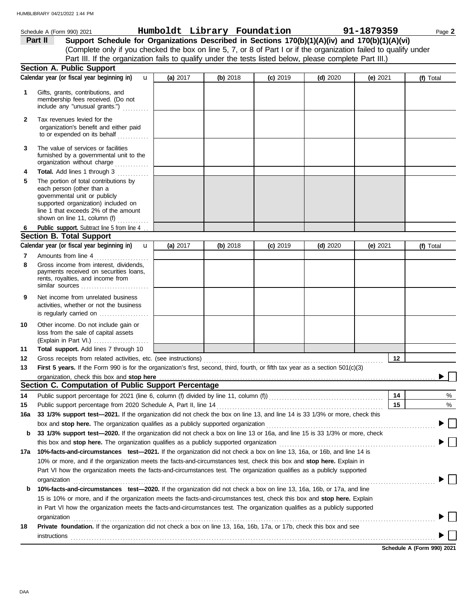|     | Schedule A (Form 990) 2021                                                                                                                                                                                                                                                                                                                | Humboldt Library Foundation |          |            |            | 91-1879359 | Page 2    |
|-----|-------------------------------------------------------------------------------------------------------------------------------------------------------------------------------------------------------------------------------------------------------------------------------------------------------------------------------------------|-----------------------------|----------|------------|------------|------------|-----------|
|     | Part II<br>Support Schedule for Organizations Described in Sections 170(b)(1)(A)(iv) and 170(b)(1)(A)(vi)<br>(Complete only if you checked the box on line 5, 7, or 8 of Part I or if the organization failed to qualify under<br>Part III. If the organization fails to qualify under the tests listed below, please complete Part III.) |                             |          |            |            |            |           |
|     | <b>Section A. Public Support</b>                                                                                                                                                                                                                                                                                                          |                             |          |            |            |            |           |
|     | Calendar year (or fiscal year beginning in)<br>$\mathbf{u}$                                                                                                                                                                                                                                                                               | (a) 2017                    | (b) 2018 | $(c)$ 2019 | (d) $2020$ | (e) $2021$ | (f) Total |
| 1   | Gifts, grants, contributions, and<br>membership fees received. (Do not<br>include any "unusual grants.")                                                                                                                                                                                                                                  |                             |          |            |            |            |           |
| 2   | Tax revenues levied for the<br>organization's benefit and either paid<br>to or expended on its behalf                                                                                                                                                                                                                                     |                             |          |            |            |            |           |
| 3   | The value of services or facilities<br>furnished by a governmental unit to the<br>organization without charge                                                                                                                                                                                                                             |                             |          |            |            |            |           |
| 4   | Total. Add lines 1 through 3                                                                                                                                                                                                                                                                                                              |                             |          |            |            |            |           |
| 5   | The portion of total contributions by<br>each person (other than a                                                                                                                                                                                                                                                                        |                             |          |            |            |            |           |
|     | governmental unit or publicly<br>supported organization) included on<br>line 1 that exceeds 2% of the amount                                                                                                                                                                                                                              |                             |          |            |            |            |           |
|     | shown on line 11, column (f) $\ldots$                                                                                                                                                                                                                                                                                                     |                             |          |            |            |            |           |
| 6   | Public support. Subtract line 5 from line 4                                                                                                                                                                                                                                                                                               |                             |          |            |            |            |           |
|     | <b>Section B. Total Support</b>                                                                                                                                                                                                                                                                                                           |                             |          |            |            |            |           |
|     | Calendar year (or fiscal year beginning in)<br>$\mathbf{u}$                                                                                                                                                                                                                                                                               | (a) $2017$                  | (b) 2018 | $(c)$ 2019 | $(d)$ 2020 | (e) $2021$ | (f) Total |
| 7   | Amounts from line 4                                                                                                                                                                                                                                                                                                                       |                             |          |            |            |            |           |
| 8   | Gross income from interest, dividends,<br>payments received on securities loans,<br>rents, royalties, and income from<br>similar sources                                                                                                                                                                                                  |                             |          |            |            |            |           |
| 9   | Net income from unrelated business<br>activities, whether or not the business<br>is regularly carried on                                                                                                                                                                                                                                  |                             |          |            |            |            |           |
| 10  | Other income. Do not include gain or<br>loss from the sale of capital assets<br>(Explain in Part VI.)                                                                                                                                                                                                                                     |                             |          |            |            |            |           |
| 11  | Total support. Add lines 7 through 10                                                                                                                                                                                                                                                                                                     |                             |          |            |            |            |           |
| 12  | Gross receipts from related activities, etc. (see instructions)                                                                                                                                                                                                                                                                           |                             |          |            |            | 12         |           |
| 13  | First 5 years. If the Form 990 is for the organization's first, second, third, fourth, or fifth tax year as a section 501(c)(3)                                                                                                                                                                                                           |                             |          |            |            |            |           |
|     | Section C. Computation of Public Support Percentage                                                                                                                                                                                                                                                                                       |                             |          |            |            |            |           |
| 14  |                                                                                                                                                                                                                                                                                                                                           |                             |          |            |            | 14         | %         |
| 15  |                                                                                                                                                                                                                                                                                                                                           |                             |          |            |            | 15         | %         |
| 16a | 33 1/3% support test-2021. If the organization did not check the box on line 13, and line 14 is 33 1/3% or more, check this                                                                                                                                                                                                               |                             |          |            |            |            |           |
|     |                                                                                                                                                                                                                                                                                                                                           |                             |          |            |            |            |           |
| b   | 33 1/3% support test-2020. If the organization did not check a box on line 13 or 16a, and line 15 is 33 1/3% or more, check                                                                                                                                                                                                               |                             |          |            |            |            |           |
|     |                                                                                                                                                                                                                                                                                                                                           |                             |          |            |            |            |           |
| 17a | 10%-facts-and-circumstances test-2021. If the organization did not check a box on line 13, 16a, or 16b, and line 14 is                                                                                                                                                                                                                    |                             |          |            |            |            |           |
|     | 10% or more, and if the organization meets the facts-and-circumstances test, check this box and stop here. Explain in                                                                                                                                                                                                                     |                             |          |            |            |            |           |
|     | Part VI how the organization meets the facts-and-circumstances test. The organization qualifies as a publicly supported<br>organization www.commutation.commutation.com/www.commutation.com/www.commutation.com/www.commutation.com/www.com                                                                                               |                             |          |            |            |            |           |
| b   | 10%-facts-and-circumstances test-2020. If the organization did not check a box on line 13, 16a, 16b, or 17a, and line                                                                                                                                                                                                                     |                             |          |            |            |            |           |
|     | 15 is 10% or more, and if the organization meets the facts-and-circumstances test, check this box and stop here. Explain<br>in Part VI how the organization meets the facts-and-circumstances test. The organization qualifies as a publicly supported                                                                                    |                             |          |            |            |            |           |
|     | organization www.commutation.commutation.com/www.commutation.com/www.commutation.com/www.commutation.com/www.com                                                                                                                                                                                                                          |                             |          |            |            |            |           |
| 18  | Private foundation. If the organization did not check a box on line 13, 16a, 16b, 17a, or 17b, check this box and see                                                                                                                                                                                                                     |                             |          |            |            |            |           |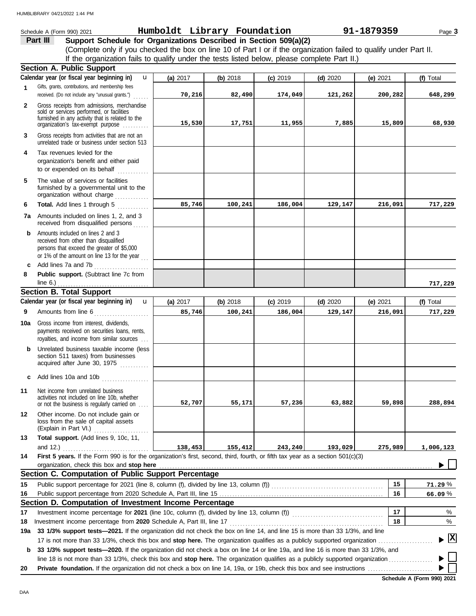|              | Schedule A (Form 990) 2021                                                                                                            | Humboldt Library Foundation |          |            |            | 91-1879359 | Page 3          |
|--------------|---------------------------------------------------------------------------------------------------------------------------------------|-----------------------------|----------|------------|------------|------------|-----------------|
|              | Part III<br>Support Schedule for Organizations Described in Section 509(a)(2)                                                         |                             |          |            |            |            |                 |
|              | (Complete only if you checked the box on line 10 of Part I or if the organization failed to qualify under Part II.                    |                             |          |            |            |            |                 |
|              | If the organization fails to qualify under the tests listed below, please complete Part II.)                                          |                             |          |            |            |            |                 |
|              | <b>Section A. Public Support</b>                                                                                                      |                             |          |            |            |            |                 |
|              | Calendar year (or fiscal year beginning in)<br>$\mathbf{u}$                                                                           | (a) 2017                    | (b) 2018 | $(c)$ 2019 | $(d)$ 2020 | (e) $2021$ | (f) Total       |
| 1            | Gifts, grants, contributions, and membership fees                                                                                     |                             |          |            |            |            |                 |
|              | received. (Do not include any "unusual grants.")                                                                                      | 70,216                      | 82,490   | 174,049    | 121,262    | 200,282    | 648,299         |
| $\mathbf{2}$ | Gross receipts from admissions, merchandise                                                                                           |                             |          |            |            |            |                 |
|              | sold or services performed, or facilities                                                                                             |                             |          |            |            |            |                 |
|              | furnished in any activity that is related to the<br>organization's tax-exempt purpose                                                 | 15,530                      | 17,751   | 11,955     | 7,885      | 15,809     | 68,930          |
| 3            | Gross receipts from activities that are not an<br>unrelated trade or business under section 513                                       |                             |          |            |            |            |                 |
| 4            | Tax revenues levied for the                                                                                                           |                             |          |            |            |            |                 |
|              | organization's benefit and either paid                                                                                                |                             |          |            |            |            |                 |
|              | to or expended on its behalf                                                                                                          |                             |          |            |            |            |                 |
| 5            | The value of services or facilities                                                                                                   |                             |          |            |            |            |                 |
|              | furnished by a governmental unit to the<br>organization without charge                                                                |                             |          |            |            |            |                 |
| 6            | Total. Add lines 1 through 5                                                                                                          | 85,746                      | 100,241  | 186,004    | 129,147    | 216,091    | 717,229         |
|              |                                                                                                                                       |                             |          |            |            |            |                 |
|              | <b>7a</b> Amounts included on lines 1, 2, and 3<br>received from disqualified persons                                                 |                             |          |            |            |            |                 |
| b            | Amounts included on lines 2 and 3                                                                                                     |                             |          |            |            |            |                 |
|              | received from other than disqualified<br>persons that exceed the greater of \$5,000                                                   |                             |          |            |            |            |                 |
|              | or 1% of the amount on line 13 for the year                                                                                           |                             |          |            |            |            |                 |
| c            | Add lines 7a and 7b                                                                                                                   |                             |          |            |            |            |                 |
| 8            | Public support. (Subtract line 7c from                                                                                                |                             |          |            |            |            |                 |
|              | line $6.$ )                                                                                                                           |                             |          |            |            |            | 717,229         |
|              | <b>Section B. Total Support</b>                                                                                                       |                             |          |            |            |            |                 |
|              | Calendar year (or fiscal year beginning in)<br>$\mathbf{u}$                                                                           | (a) 2017                    | (b) 2018 | $(c)$ 2019 | $(d)$ 2020 | (e) 2021   | (f) Total       |
| 9            | Amounts from line 6                                                                                                                   | 85,746                      | 100,241  | 186,004    | 129,147    | 216,091    | 717,229         |
|              |                                                                                                                                       |                             |          |            |            |            |                 |
| 10a          | Gross income from interest, dividends,<br>payments received on securities loans, rents,<br>royalties, and income from similar sources |                             |          |            |            |            |                 |
| b            | Unrelated business taxable income (less                                                                                               |                             |          |            |            |            |                 |
|              | section 511 taxes) from businesses<br>acquired after June 30, 1975                                                                    |                             |          |            |            |            |                 |
| c            | Add lines 10a and 10b                                                                                                                 |                             |          |            |            |            |                 |
| 11           | Net income from unrelated business                                                                                                    |                             |          |            |            |            |                 |
|              | activities not included on line 10b, whether<br>or not the business is regularly carried on                                           | 52,707                      | 55,171   | 57,236     | 63,882     | 59,898     | 288,894         |
|              |                                                                                                                                       |                             |          |            |            |            |                 |
| 12           | Other income. Do not include gain or<br>loss from the sale of capital assets<br>(Explain in Part VI.)                                 |                             |          |            |            |            |                 |
| 13           | Total support. (Add lines 9, 10c, 11,                                                                                                 |                             |          |            |            |            |                 |
|              |                                                                                                                                       | 138,453                     | 155,412  | 243,240    | 193,029    | 275,989    | 1,006,123       |
| 14           | First 5 years. If the Form 990 is for the organization's first, second, third, fourth, or fifth tax year as a section 501(c)(3)       |                             |          |            |            |            |                 |
|              | organization, check this box and stop here                                                                                            |                             |          |            |            |            |                 |
|              | Section C. Computation of Public Support Percentage                                                                                   |                             |          |            |            |            |                 |
| 15           |                                                                                                                                       |                             |          |            |            | 15         | 71.29%          |
| 16           |                                                                                                                                       |                             |          |            |            | 16         | 66.09%          |
|              | Section D. Computation of Investment Income Percentage                                                                                |                             |          |            |            |            |                 |
| 17           |                                                                                                                                       |                             |          |            |            | 17         | %               |
| 18           |                                                                                                                                       |                             |          |            |            | 18         | %               |
| 19a          | 33 1/3% support tests-2021. If the organization did not check the box on line 14, and line 15 is more than 33 1/3%, and line          |                             |          |            |            |            |                 |
|              |                                                                                                                                       |                             |          |            |            |            | $\vert x \vert$ |
| b            | 33 1/3% support tests-2020. If the organization did not check a box on line 14 or line 19a, and line 16 is more than 33 1/3%, and     |                             |          |            |            |            |                 |
|              | line 18 is not more than 33 1/3%, check this box and stop here. The organization qualifies as a publicly supported organization       |                             |          |            |            |            |                 |
| 20           |                                                                                                                                       |                             |          |            |            |            |                 |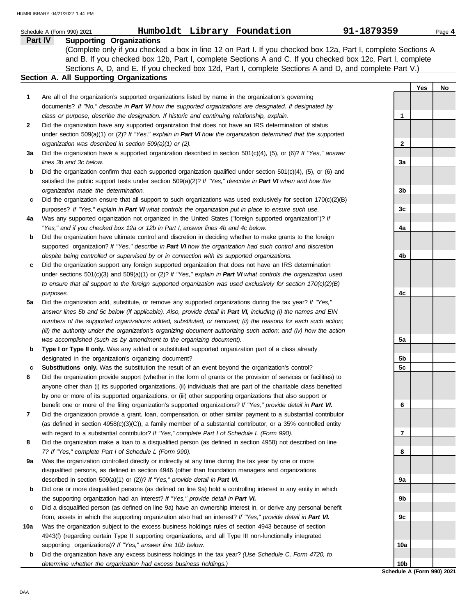|     | Humboldt Library Foundation<br>91-1879359<br>Schedule A (Form 990) 2021                                                                                                                                                                                                   |     |     | Page 4 |
|-----|---------------------------------------------------------------------------------------------------------------------------------------------------------------------------------------------------------------------------------------------------------------------------|-----|-----|--------|
|     | Part IV<br><b>Supporting Organizations</b><br>(Complete only if you checked a box in line 12 on Part I. If you checked box 12a, Part I, complete Sections A<br>and B. If you checked box 12b, Part I, complete Sections A and C. If you checked box 12c, Part I, complete |     |     |        |
|     | Sections A, D, and E. If you checked box 12d, Part I, complete Sections A and D, and complete Part V.)                                                                                                                                                                    |     |     |        |
|     | Section A. All Supporting Organizations                                                                                                                                                                                                                                   |     |     |        |
|     |                                                                                                                                                                                                                                                                           |     | Yes | No     |
| 1   | Are all of the organization's supported organizations listed by name in the organization's governing                                                                                                                                                                      |     |     |        |
|     | documents? If "No," describe in Part VI how the supported organizations are designated. If designated by                                                                                                                                                                  |     |     |        |
|     | class or purpose, describe the designation. If historic and continuing relationship, explain.                                                                                                                                                                             | 1   |     |        |
| 2   | Did the organization have any supported organization that does not have an IRS determination of status                                                                                                                                                                    |     |     |        |
|     | under section 509(a)(1) or (2)? If "Yes," explain in Part VI how the organization determined that the supported                                                                                                                                                           |     |     |        |
|     | organization was described in section 509(a)(1) or (2).                                                                                                                                                                                                                   | 2   |     |        |
| За  | Did the organization have a supported organization described in section $501(c)(4)$ , (5), or (6)? If "Yes," answer                                                                                                                                                       |     |     |        |
|     | lines 3b and 3c below.                                                                                                                                                                                                                                                    | 3a  |     |        |
| b   | Did the organization confirm that each supported organization qualified under section $501(c)(4)$ , $(5)$ , or $(6)$ and<br>satisfied the public support tests under section 509(a)(2)? If "Yes," describe in Part VI when and how the                                    |     |     |        |
|     | organization made the determination.                                                                                                                                                                                                                                      | 3b  |     |        |
| c   | Did the organization ensure that all support to such organizations was used exclusively for section $170(c)(2)(B)$                                                                                                                                                        |     |     |        |
|     | purposes? If "Yes," explain in Part VI what controls the organization put in place to ensure such use.                                                                                                                                                                    | 3c  |     |        |
| 4a  | Was any supported organization not organized in the United States ("foreign supported organization")? If                                                                                                                                                                  |     |     |        |
|     | "Yes," and if you checked box 12a or 12b in Part I, answer lines 4b and 4c below.                                                                                                                                                                                         | 4a  |     |        |
| b   | Did the organization have ultimate control and discretion in deciding whether to make grants to the foreign                                                                                                                                                               |     |     |        |
|     | supported organization? If "Yes," describe in Part VI how the organization had such control and discretion                                                                                                                                                                |     |     |        |
|     | despite being controlled or supervised by or in connection with its supported organizations.                                                                                                                                                                              | 4b  |     |        |
| c   | Did the organization support any foreign supported organization that does not have an IRS determination                                                                                                                                                                   |     |     |        |
|     | under sections $501(c)(3)$ and $509(a)(1)$ or (2)? If "Yes," explain in Part VI what controls the organization used                                                                                                                                                       |     |     |        |
|     | to ensure that all support to the foreign supported organization was used exclusively for section $170(c)(2)(B)$                                                                                                                                                          |     |     |        |
|     | purposes.                                                                                                                                                                                                                                                                 | 4c  |     |        |
| 5a  | Did the organization add, substitute, or remove any supported organizations during the tax year? If "Yes,"                                                                                                                                                                |     |     |        |
|     | answer lines 5b and 5c below (if applicable). Also, provide detail in Part VI, including (i) the names and EIN                                                                                                                                                            |     |     |        |
|     | numbers of the supported organizations added, substituted, or removed; (ii) the reasons for each such action;                                                                                                                                                             |     |     |        |
|     | (iii) the authority under the organization's organizing document authorizing such action; and (iv) how the action                                                                                                                                                         |     |     |        |
|     | was accomplished (such as by amendment to the organizing document).                                                                                                                                                                                                       | 5a  |     |        |
| b   | Type I or Type II only. Was any added or substituted supported organization part of a class already                                                                                                                                                                       |     |     |        |
|     | designated in the organization's organizing document?                                                                                                                                                                                                                     | 5b  |     |        |
| c   | <b>Substitutions only.</b> Was the substitution the result of an event beyond the organization's control?                                                                                                                                                                 | 5c  |     |        |
| 6   | Did the organization provide support (whether in the form of grants or the provision of services or facilities) to                                                                                                                                                        |     |     |        |
|     | anyone other than (i) its supported organizations, (ii) individuals that are part of the charitable class benefited                                                                                                                                                       |     |     |        |
|     | by one or more of its supported organizations, or (iii) other supporting organizations that also support or                                                                                                                                                               |     |     |        |
|     | benefit one or more of the filing organization's supported organizations? If "Yes," provide detail in Part VI.                                                                                                                                                            | 6   |     |        |
| 7   | Did the organization provide a grant, loan, compensation, or other similar payment to a substantial contributor                                                                                                                                                           |     |     |        |
|     | (as defined in section $4958(c)(3)(C)$ ), a family member of a substantial contributor, or a 35% controlled entity                                                                                                                                                        |     |     |        |
| 8   | with regard to a substantial contributor? If "Yes," complete Part I of Schedule L (Form 990).<br>Did the organization make a loan to a disqualified person (as defined in section 4958) not described on line                                                             | 7   |     |        |
|     | 7? If "Yes," complete Part I of Schedule L (Form 990).                                                                                                                                                                                                                    | 8   |     |        |
| 9а  | Was the organization controlled directly or indirectly at any time during the tax year by one or more                                                                                                                                                                     |     |     |        |
|     | disqualified persons, as defined in section 4946 (other than foundation managers and organizations                                                                                                                                                                        |     |     |        |
|     | described in section 509(a)(1) or (2))? If "Yes," provide detail in Part VI.                                                                                                                                                                                              | 9а  |     |        |
| b   | Did one or more disqualified persons (as defined on line 9a) hold a controlling interest in any entity in which                                                                                                                                                           |     |     |        |
|     | the supporting organization had an interest? If "Yes," provide detail in Part VI.                                                                                                                                                                                         | 9b  |     |        |
| c   | Did a disqualified person (as defined on line 9a) have an ownership interest in, or derive any personal benefit                                                                                                                                                           |     |     |        |
|     | from, assets in which the supporting organization also had an interest? If "Yes," provide detail in Part VI.                                                                                                                                                              | 9c  |     |        |
| 10a | Was the organization subject to the excess business holdings rules of section 4943 because of section                                                                                                                                                                     |     |     |        |
|     | 4943(f) (regarding certain Type II supporting organizations, and all Type III non-functionally integrated                                                                                                                                                                 |     |     |        |
|     | supporting organizations)? If "Yes," answer line 10b below.                                                                                                                                                                                                               | 10a |     |        |
| b   | Did the organization have any excess business holdings in the tax year? (Use Schedule C, Form 4720, to                                                                                                                                                                    |     |     |        |
|     | determine whether the organization had excess business holdings.)                                                                                                                                                                                                         | 10b |     |        |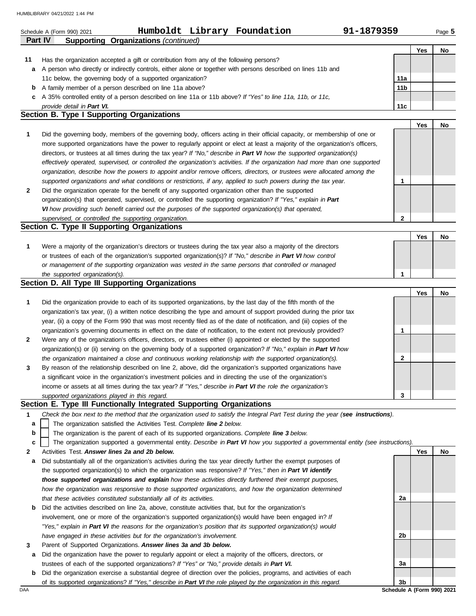|    | Humboldt Library Foundation<br>91-1879359<br>Schedule A (Form 990) 2021<br><b>Supporting Organizations (continued)</b><br><b>Part IV</b> |              |     | Page 5 |
|----|------------------------------------------------------------------------------------------------------------------------------------------|--------------|-----|--------|
|    |                                                                                                                                          |              | Yes | No     |
| 11 | Has the organization accepted a gift or contribution from any of the following persons?                                                  |              |     |        |
| а  | A person who directly or indirectly controls, either alone or together with persons described on lines 11b and                           |              |     |        |
|    | 11c below, the governing body of a supported organization?                                                                               | 11a          |     |        |
| b  | A family member of a person described on line 11a above?                                                                                 | 11b          |     |        |
| c  | A 35% controlled entity of a person described on line 11a or 11b above? If "Yes" to line 11a, 11b, or 11c,                               |              |     |        |
|    | provide detail in Part VI.                                                                                                               | 11c          |     |        |
|    | <b>Section B. Type I Supporting Organizations</b>                                                                                        |              |     |        |
|    |                                                                                                                                          |              | Yes | No     |
|    | Did the governing body, members of the governing body, officers acting in their official capacity, or membership of one or               |              |     |        |
|    | more supported organizations have the power to regularly appoint or elect at least a majority of the organization's officers,            |              |     |        |
|    | directors, or trustees at all times during the tax year? If "No," describe in Part VI how the supported organization(s)                  |              |     |        |
|    | effectively operated, supervised, or controlled the organization's activities. If the organization had more than one supported           |              |     |        |
|    | organization, describe how the powers to appoint and/or remove officers, directors, or trustees were allocated among the                 |              |     |        |
|    | supported organizations and what conditions or restrictions, if any, applied to such powers during the tax year.                         | 1            |     |        |
|    | Did the organization operate for the benefit of any supported organization other than the supported                                      |              |     |        |
|    | organization(s) that operated, supervised, or controlled the supporting organization? If "Yes," explain in Part                          |              |     |        |
|    | VI how providing such benefit carried out the purposes of the supported organization(s) that operated,                                   | $\mathbf{2}$ |     |        |
|    | supervised, or controlled the supporting organization.<br>Section C. Type II Supporting Organizations                                    |              |     |        |
|    |                                                                                                                                          |              | Yes | No     |
|    | Were a majority of the organization's directors or trustees during the tax year also a majority of the directors                         |              |     |        |
|    | or trustees of each of the organization's supported organization(s)? If "No," describe in Part VI how control                            |              |     |        |
|    | or management of the supporting organization was vested in the same persons that controlled or managed                                   |              |     |        |
|    | the supported organization(s).                                                                                                           | 1            |     |        |
|    | Section D. All Type III Supporting Organizations                                                                                         |              |     |        |
|    |                                                                                                                                          |              | Yes | No     |
|    | Did the organization provide to each of its supported organizations, by the last day of the fifth month of the                           |              |     |        |
|    | organization's tax year, (i) a written notice describing the type and amount of support provided during the prior tax                    |              |     |        |
|    | year, (ii) a copy of the Form 990 that was most recently filed as of the date of notification, and (iii) copies of the                   |              |     |        |
|    | organization's governing documents in effect on the date of notification, to the extent not previously provided?                         | 1            |     |        |
|    | Were any of the organization's officers, directors, or trustees either (i) appointed or elected by the supported                         |              |     |        |
|    | organization(s) or (ii) serving on the governing body of a supported organization? If "No," explain in Part VI how                       |              |     |        |
|    | the organization maintained a close and continuous working relationship with the supported organization(s).                              | $\mathbf{2}$ |     |        |
|    | By reason of the relationship described on line 2, above, did the organization's supported organizations have                            |              |     |        |
|    | a significant voice in the organization's investment policies and in directing the use of the organization's                             |              |     |        |
|    | income or assets at all times during the tax year? If "Yes," describe in Part VI the role the organization's                             |              |     |        |
|    | supported organizations played in this regard.                                                                                           | 3            |     |        |
|    | Section E. Type III Functionally Integrated Supporting Organizations                                                                     |              |     |        |
| 1  | Check the box next to the method that the organization used to satisfy the Integral Part Test during the year (see instructions).        |              |     |        |
| а  | The organization satisfied the Activities Test. Complete line 2 below.                                                                   |              |     |        |
| b  | The organization is the parent of each of its supported organizations. Complete line 3 below.                                            |              |     |        |
| c  | The organization supported a governmental entity. Describe in Part VI how you supported a governmental entity (see instructions).        |              |     |        |
|    | Activities Test. Answer lines 2a and 2b below.                                                                                           |              | Yes | No     |
| а  | Did substantially all of the organization's activities during the tax year directly further the exempt purposes of                       |              |     |        |
|    | the supported organization(s) to which the organization was responsive? If "Yes," then in Part VI identify                               |              |     |        |
|    | those supported organizations and explain how these activities directly furthered their exempt purposes,                                 |              |     |        |
|    | how the organization was responsive to those supported organizations, and how the organization determined                                |              |     |        |

|  | $\sim$ $\sim$ $\sim$ |                                                                        |  |  |  |
|--|----------------------|------------------------------------------------------------------------|--|--|--|
|  |                      | that these activities constituted substantially all of its activities. |  |  |  |

| <b>b</b> Did the activities described on line 2a, above, constitute activities that, but for the organization's |
|-----------------------------------------------------------------------------------------------------------------|
| involvement, one or more of the organization's supported organization(s) would have been engaged in? If         |
| "Yes," explain in Part VI the reasons for the organization's position that its supported organization(s) would  |
| have engaged in these activities but for the organization's involvement.                                        |

- **3** Parent of Supported Organizations. *Answer lines 3a and 3b below.*
	- **a** Did the organization have the power to regularly appoint or elect a majority of the officers, directors, or trustees of each of the supported organizations? *If "Yes" or "No," provide details in Part VI.*
- DAA **Schedule A (Form 990) 2021 b** Did the organization exercise a substantial degree of direction over the policies, programs, and activities of each of its supported organizations? *If "Yes," describe in Part VI the role played by the organization in this regard.*

**2a**

**2b**

**3a**

**3b**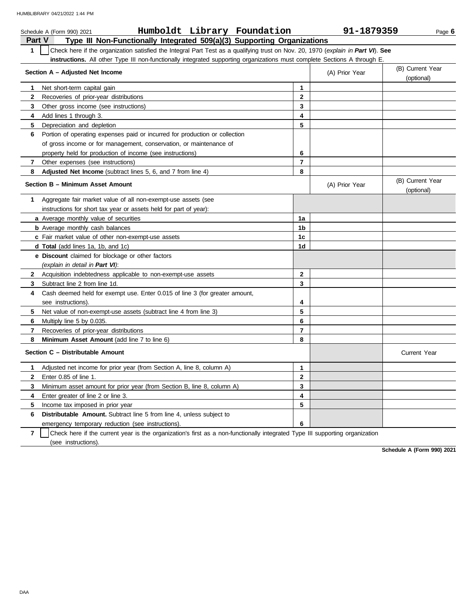|              | Humboldt Library Foundation<br>Schedule A (Form 990) 2021                                                                        |              | 91-1879359     | Page $6$                       |
|--------------|----------------------------------------------------------------------------------------------------------------------------------|--------------|----------------|--------------------------------|
|              | Part V<br>Type III Non-Functionally Integrated 509(a)(3) Supporting Organizations                                                |              |                |                                |
| $\mathbf{1}$ | Check here if the organization satisfied the Integral Part Test as a qualifying trust on Nov. 20, 1970 (explain in Part VI). See |              |                |                                |
|              | instructions. All other Type III non-functionally integrated supporting organizations must complete Sections A through E.        |              |                |                                |
|              | Section A - Adjusted Net Income                                                                                                  |              | (A) Prior Year | (B) Current Year<br>(optional) |
| 1            | Net short-term capital gain                                                                                                      | 1            |                |                                |
| 2            | Recoveries of prior-year distributions                                                                                           | $\mathbf{2}$ |                |                                |
| 3            | Other gross income (see instructions)                                                                                            | 3            |                |                                |
| 4            | Add lines 1 through 3.                                                                                                           | 4            |                |                                |
| 5            | Depreciation and depletion                                                                                                       | 5            |                |                                |
| 6            | Portion of operating expenses paid or incurred for production or collection                                                      |              |                |                                |
|              | of gross income or for management, conservation, or maintenance of                                                               |              |                |                                |
|              | property held for production of income (see instructions)                                                                        | 6            |                |                                |
| 7            | Other expenses (see instructions)                                                                                                | 7            |                |                                |
| 8            | Adjusted Net Income (subtract lines 5, 6, and 7 from line 4)                                                                     | 8            |                |                                |
|              | Section B - Minimum Asset Amount                                                                                                 |              | (A) Prior Year | (B) Current Year<br>(optional) |
| 1            | Aggregate fair market value of all non-exempt-use assets (see                                                                    |              |                |                                |
|              | instructions for short tax year or assets held for part of year):                                                                |              |                |                                |
|              | a Average monthly value of securities                                                                                            | 1a           |                |                                |
|              | <b>b</b> Average monthly cash balances                                                                                           | 1b           |                |                                |
|              | c Fair market value of other non-exempt-use assets                                                                               | 1c           |                |                                |
|              | <b>d Total</b> (add lines 1a, 1b, and 1c)                                                                                        | 1d           |                |                                |
|              | <b>e</b> Discount claimed for blockage or other factors                                                                          |              |                |                                |
|              | (explain in detail in Part VI):                                                                                                  |              |                |                                |
| $\mathbf{2}$ | Acquisition indebtedness applicable to non-exempt-use assets                                                                     | $\mathbf{2}$ |                |                                |
| 3            | Subtract line 2 from line 1d.                                                                                                    | 3            |                |                                |
| 4            | Cash deemed held for exempt use. Enter 0.015 of line 3 (for greater amount,                                                      |              |                |                                |
|              | see instructions).                                                                                                               | 4            |                |                                |
| 5.           | Net value of non-exempt-use assets (subtract line 4 from line 3)                                                                 | 5            |                |                                |
| 6            | Multiply line 5 by 0.035.                                                                                                        | 6            |                |                                |
| 7            | Recoveries of prior-year distributions                                                                                           | 7            |                |                                |
| 8            | <b>Minimum Asset Amount</b> (add line 7 to line 6)                                                                               | 8            |                |                                |
|              | Section C - Distributable Amount                                                                                                 |              |                | Current Year                   |
| 1.           | Adjusted net income for prior year (from Section A, line 8, column A)                                                            | 1            |                |                                |
| 2            | Enter 0.85 of line 1.                                                                                                            | 2            |                |                                |
| 3            | Minimum asset amount for prior year (from Section B, line 8, column A)                                                           | 3            |                |                                |
| 4            | Enter greater of line 2 or line 3.                                                                                               | 4            |                |                                |
| 5            | Income tax imposed in prior year                                                                                                 | 5            |                |                                |
| 6            | <b>Distributable Amount.</b> Subtract line 5 from line 4, unless subject to                                                      |              |                |                                |
|              | emergency temporary reduction (see instructions).                                                                                | 6            |                |                                |
|              |                                                                                                                                  |              |                |                                |

**7** | Check here if the current year is the organization's first as a non-functionally integrated Type III supporting organization (see instructions).

**Schedule A (Form 990) 2021**

DAA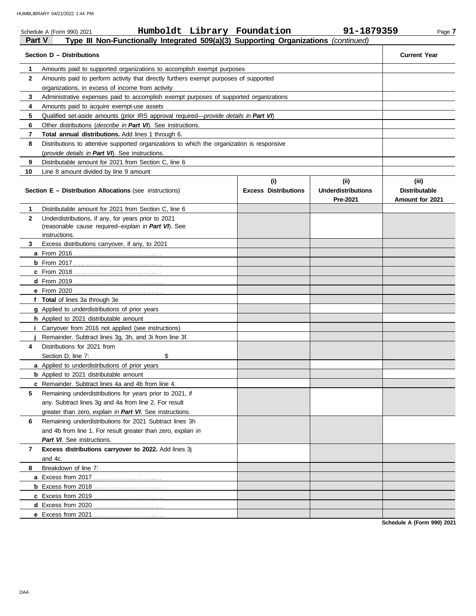|              | Humboldt Library Foundation<br>Schedule A (Form 990) 2021                                            |                             | 91-1879359                            | Page 7                                  |
|--------------|------------------------------------------------------------------------------------------------------|-----------------------------|---------------------------------------|-----------------------------------------|
|              | Type III Non-Functionally Integrated 509(a)(3) Supporting Organizations (continued)<br><b>Part V</b> |                             |                                       |                                         |
|              | Section D - Distributions                                                                            |                             |                                       | <b>Current Year</b>                     |
| 1.           | Amounts paid to supported organizations to accomplish exempt purposes                                |                             |                                       |                                         |
| $\mathbf{2}$ | Amounts paid to perform activity that directly furthers exempt purposes of supported                 |                             |                                       |                                         |
|              | organizations, in excess of income from activity                                                     |                             |                                       |                                         |
| 3            | Administrative expenses paid to accomplish exempt purposes of supported organizations                |                             |                                       |                                         |
| 4            | Amounts paid to acquire exempt-use assets                                                            |                             |                                       |                                         |
| 5            | Qualified set-aside amounts (prior IRS approval required-provide details in Part VI)                 |                             |                                       |                                         |
| 6            | Other distributions ( <i>describe in Part VI</i> ). See instructions.                                |                             |                                       |                                         |
| 7            | <b>Total annual distributions.</b> Add lines 1 through 6.                                            |                             |                                       |                                         |
| 8            | Distributions to attentive supported organizations to which the organization is responsive           |                             |                                       |                                         |
|              | (provide details in Part VI). See instructions.                                                      |                             |                                       |                                         |
| 9            | Distributable amount for 2021 from Section C, line 6                                                 |                             |                                       |                                         |
| 10           | Line 8 amount divided by line 9 amount                                                               |                             |                                       |                                         |
|              |                                                                                                      | (i)                         | (i)                                   | (iii)                                   |
|              | <b>Section E - Distribution Allocations (see instructions)</b>                                       | <b>Excess Distributions</b> | <b>Underdistributions</b><br>Pre-2021 | <b>Distributable</b><br>Amount for 2021 |
| 1.           | Distributable amount for 2021 from Section C, line 6                                                 |                             |                                       |                                         |
| $\mathbf{2}$ | Underdistributions, if any, for years prior to 2021                                                  |                             |                                       |                                         |
|              | (reasonable cause required-explain in Part VI). See                                                  |                             |                                       |                                         |
|              | instructions.                                                                                        |                             |                                       |                                         |
| 3            | Excess distributions carryover, if any, to 2021                                                      |                             |                                       |                                         |
|              |                                                                                                      |                             |                                       |                                         |
|              |                                                                                                      |                             |                                       |                                         |
|              |                                                                                                      |                             |                                       |                                         |
|              |                                                                                                      |                             |                                       |                                         |
|              |                                                                                                      |                             |                                       |                                         |
|              | f Total of lines 3a through 3e                                                                       |                             |                                       |                                         |
|              | g Applied to underdistributions of prior years                                                       |                             |                                       |                                         |
|              | h Applied to 2021 distributable amount                                                               |                             |                                       |                                         |
|              | <i>i</i> Carryover from 2016 not applied (see instructions)                                          |                             |                                       |                                         |
|              | Remainder. Subtract lines 3g, 3h, and 3i from line 3f.                                               |                             |                                       |                                         |
| 4            | Distributions for 2021 from                                                                          |                             |                                       |                                         |
|              | Section D, line 7:<br>\$                                                                             |                             |                                       |                                         |
|              | a Applied to underdistributions of prior years                                                       |                             |                                       |                                         |
|              | <b>b</b> Applied to 2021 distributable amount                                                        |                             |                                       |                                         |
|              | <b>c</b> Remainder. Subtract lines 4a and 4b from line 4.                                            |                             |                                       |                                         |
| 5            | Remaining underdistributions for years prior to 2021, if                                             |                             |                                       |                                         |
|              | any. Subtract lines 3g and 4a from line 2. For result                                                |                             |                                       |                                         |
|              | greater than zero, explain in Part VI. See instructions.                                             |                             |                                       |                                         |
| 6            | Remaining underdistributions for 2021 Subtract lines 3h                                              |                             |                                       |                                         |
|              | and 4b from line 1. For result greater than zero, explain in                                         |                             |                                       |                                         |
|              | Part VI. See instructions.                                                                           |                             |                                       |                                         |
| 7            | Excess distributions carryover to 2022. Add lines 3j                                                 |                             |                                       |                                         |
|              | and 4c.                                                                                              |                             |                                       |                                         |
| 8            | Breakdown of line 7:                                                                                 |                             |                                       |                                         |
|              |                                                                                                      |                             |                                       |                                         |
|              |                                                                                                      |                             |                                       |                                         |
|              |                                                                                                      |                             |                                       |                                         |
|              | d Excess from 2020                                                                                   |                             |                                       |                                         |
|              |                                                                                                      |                             |                                       |                                         |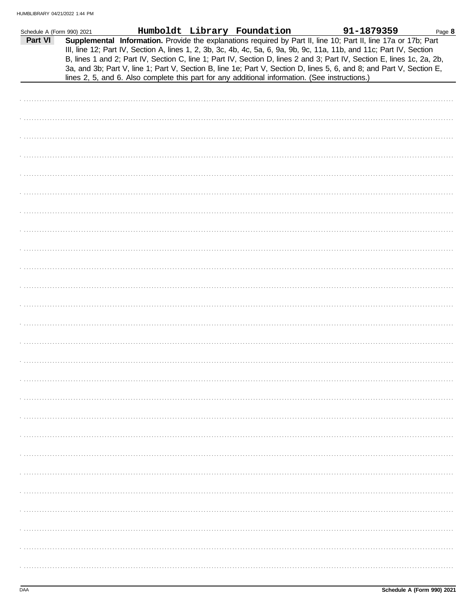| Schedule A (Form 990) 2021 |                                                                                                                                                                                                                                                                                                                                                                                                                                                                                           | Humboldt Library Foundation | 91-1879359 | Page 8 |
|----------------------------|-------------------------------------------------------------------------------------------------------------------------------------------------------------------------------------------------------------------------------------------------------------------------------------------------------------------------------------------------------------------------------------------------------------------------------------------------------------------------------------------|-----------------------------|------------|--------|
| Part VI                    | Supplemental Information. Provide the explanations required by Part II, line 10; Part II, line 17a or 17b; Part<br>III, line 12; Part IV, Section A, lines 1, 2, 3b, 3c, 4b, 4c, 5a, 6, 9a, 9b, 9c, 11a, 11b, and 11c; Part IV, Section<br>B, lines 1 and 2; Part IV, Section C, line 1; Part IV, Section D, lines 2 and 3; Part IV, Section E, lines 1c, 2a, 2b,<br>3a, and 3b; Part V, line 1; Part V, Section B, line 1e; Part V, Section D, lines 5, 6, and 8; and Part V, Section E, |                             |            |        |
|                            | lines 2, 5, and 6. Also complete this part for any additional information. (See instructions.)                                                                                                                                                                                                                                                                                                                                                                                            |                             |            |        |
|                            |                                                                                                                                                                                                                                                                                                                                                                                                                                                                                           |                             |            |        |
|                            |                                                                                                                                                                                                                                                                                                                                                                                                                                                                                           |                             |            |        |
|                            |                                                                                                                                                                                                                                                                                                                                                                                                                                                                                           |                             |            |        |
|                            |                                                                                                                                                                                                                                                                                                                                                                                                                                                                                           |                             |            |        |
|                            |                                                                                                                                                                                                                                                                                                                                                                                                                                                                                           |                             |            |        |
|                            |                                                                                                                                                                                                                                                                                                                                                                                                                                                                                           |                             |            |        |
|                            |                                                                                                                                                                                                                                                                                                                                                                                                                                                                                           |                             |            |        |
|                            |                                                                                                                                                                                                                                                                                                                                                                                                                                                                                           |                             |            |        |
|                            |                                                                                                                                                                                                                                                                                                                                                                                                                                                                                           |                             |            |        |
|                            |                                                                                                                                                                                                                                                                                                                                                                                                                                                                                           |                             |            |        |
|                            |                                                                                                                                                                                                                                                                                                                                                                                                                                                                                           |                             |            |        |
|                            |                                                                                                                                                                                                                                                                                                                                                                                                                                                                                           |                             |            |        |
|                            |                                                                                                                                                                                                                                                                                                                                                                                                                                                                                           |                             |            |        |
|                            |                                                                                                                                                                                                                                                                                                                                                                                                                                                                                           |                             |            |        |
|                            |                                                                                                                                                                                                                                                                                                                                                                                                                                                                                           |                             |            |        |
|                            |                                                                                                                                                                                                                                                                                                                                                                                                                                                                                           |                             |            |        |
|                            |                                                                                                                                                                                                                                                                                                                                                                                                                                                                                           |                             |            |        |
|                            |                                                                                                                                                                                                                                                                                                                                                                                                                                                                                           |                             |            |        |
|                            |                                                                                                                                                                                                                                                                                                                                                                                                                                                                                           |                             |            |        |
|                            |                                                                                                                                                                                                                                                                                                                                                                                                                                                                                           |                             |            |        |
|                            |                                                                                                                                                                                                                                                                                                                                                                                                                                                                                           |                             |            |        |
|                            |                                                                                                                                                                                                                                                                                                                                                                                                                                                                                           |                             |            |        |
|                            |                                                                                                                                                                                                                                                                                                                                                                                                                                                                                           |                             |            |        |
|                            |                                                                                                                                                                                                                                                                                                                                                                                                                                                                                           |                             |            |        |
|                            |                                                                                                                                                                                                                                                                                                                                                                                                                                                                                           |                             |            |        |
|                            |                                                                                                                                                                                                                                                                                                                                                                                                                                                                                           |                             |            |        |
|                            |                                                                                                                                                                                                                                                                                                                                                                                                                                                                                           |                             |            |        |
|                            |                                                                                                                                                                                                                                                                                                                                                                                                                                                                                           |                             |            |        |
|                            |                                                                                                                                                                                                                                                                                                                                                                                                                                                                                           |                             |            |        |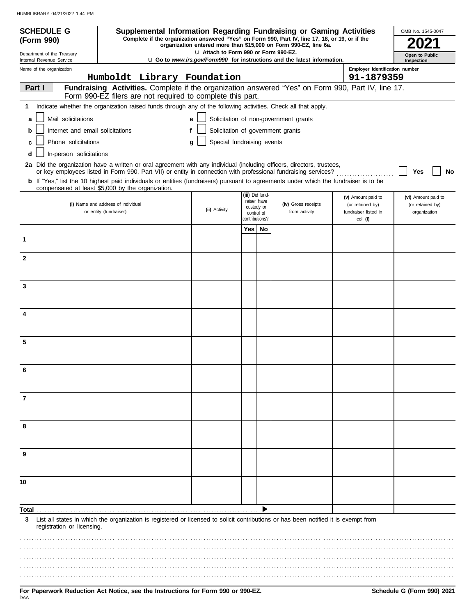| <b>SCHEDULE G</b>                                      | Supplemental Information Regarding Fundraising or Gaming Activities                                                                                                                                                                      |                                 |     |                                |                                       |                                          | OMB No. 1545-0047                |
|--------------------------------------------------------|------------------------------------------------------------------------------------------------------------------------------------------------------------------------------------------------------------------------------------------|---------------------------------|-----|--------------------------------|---------------------------------------|------------------------------------------|----------------------------------|
| (Form 990)                                             | Complete if the organization answered "Yes" on Form 990, Part IV, line 17, 18, or 19, or if the<br>organization entered more than \$15,000 on Form 990-EZ, line 6a.                                                                      |                                 |     |                                |                                       |                                          |                                  |
| Department of the Treasury<br>Internal Revenue Service | La Attach to Form 990 or Form 990-EZ.<br>Open to Public<br><b>u</b> Go to www.irs.gov/Form990 for instructions and the latest information.<br>Inspection                                                                                 |                                 |     |                                |                                       |                                          |                                  |
| Name of the organization                               |                                                                                                                                                                                                                                          |                                 |     |                                |                                       | Employer identification number           |                                  |
| Part I                                                 | Humboldt Library Foundation<br>Fundraising Activities. Complete if the organization answered "Yes" on Form 990, Part IV, line 17.                                                                                                        |                                 |     |                                |                                       | 91-1879359                               |                                  |
|                                                        | Form 990-EZ filers are not required to complete this part.                                                                                                                                                                               |                                 |     |                                |                                       |                                          |                                  |
| 1.                                                     | Indicate whether the organization raised funds through any of the following activities. Check all that apply.                                                                                                                            |                                 |     |                                |                                       |                                          |                                  |
| Mail solicitations<br>a                                |                                                                                                                                                                                                                                          | е                               |     |                                | Solicitation of non-government grants |                                          |                                  |
| Internet and email solicitations<br>b                  |                                                                                                                                                                                                                                          | f                               |     |                                | Solicitation of government grants     |                                          |                                  |
| Phone solicitations<br>c                               |                                                                                                                                                                                                                                          | Special fundraising events<br>g |     |                                |                                       |                                          |                                  |
| In-person solicitations<br>d                           |                                                                                                                                                                                                                                          |                                 |     |                                |                                       |                                          |                                  |
|                                                        | 2a Did the organization have a written or oral agreement with any individual (including officers, directors, trustees,<br>or key employees listed in Form 990, Part VII) or entity in connection with professional fundraising services? |                                 |     |                                |                                       |                                          | Yes<br><b>No</b>                 |
|                                                        | b If "Yes," list the 10 highest paid individuals or entities (fundraisers) pursuant to agreements under which the fundraiser is to be<br>compensated at least \$5,000 by the organization.                                               |                                 |     |                                |                                       |                                          |                                  |
|                                                        |                                                                                                                                                                                                                                          |                                 |     | (iii) Did fund-<br>raiser have |                                       | (v) Amount paid to                       | (vi) Amount paid to              |
|                                                        | (i) Name and address of individual<br>or entity (fundraiser)                                                                                                                                                                             | (ii) Activity                   |     | custody or<br>control of       | (iv) Gross receipts<br>from activity  | (or retained by)<br>fundraiser listed in | (or retained by)<br>organization |
|                                                        |                                                                                                                                                                                                                                          |                                 |     | contributions?                 |                                       | col. (i)                                 |                                  |
|                                                        |                                                                                                                                                                                                                                          |                                 | Yes | No                             |                                       |                                          |                                  |
| 1                                                      |                                                                                                                                                                                                                                          |                                 |     |                                |                                       |                                          |                                  |
| $\mathbf{2}$                                           |                                                                                                                                                                                                                                          |                                 |     |                                |                                       |                                          |                                  |
|                                                        |                                                                                                                                                                                                                                          |                                 |     |                                |                                       |                                          |                                  |
| 3                                                      |                                                                                                                                                                                                                                          |                                 |     |                                |                                       |                                          |                                  |
|                                                        |                                                                                                                                                                                                                                          |                                 |     |                                |                                       |                                          |                                  |
| 4                                                      |                                                                                                                                                                                                                                          |                                 |     |                                |                                       |                                          |                                  |
|                                                        |                                                                                                                                                                                                                                          |                                 |     |                                |                                       |                                          |                                  |
|                                                        |                                                                                                                                                                                                                                          |                                 |     |                                |                                       |                                          |                                  |
| 5                                                      |                                                                                                                                                                                                                                          |                                 |     |                                |                                       |                                          |                                  |
|                                                        |                                                                                                                                                                                                                                          |                                 |     |                                |                                       |                                          |                                  |
| 6                                                      |                                                                                                                                                                                                                                          |                                 |     |                                |                                       |                                          |                                  |
|                                                        |                                                                                                                                                                                                                                          |                                 |     |                                |                                       |                                          |                                  |
| 7                                                      |                                                                                                                                                                                                                                          |                                 |     |                                |                                       |                                          |                                  |
|                                                        |                                                                                                                                                                                                                                          |                                 |     |                                |                                       |                                          |                                  |
| 8                                                      |                                                                                                                                                                                                                                          |                                 |     |                                |                                       |                                          |                                  |
|                                                        |                                                                                                                                                                                                                                          |                                 |     |                                |                                       |                                          |                                  |
|                                                        |                                                                                                                                                                                                                                          |                                 |     |                                |                                       |                                          |                                  |
| 9                                                      |                                                                                                                                                                                                                                          |                                 |     |                                |                                       |                                          |                                  |
|                                                        |                                                                                                                                                                                                                                          |                                 |     |                                |                                       |                                          |                                  |
| 10                                                     |                                                                                                                                                                                                                                          |                                 |     |                                |                                       |                                          |                                  |
|                                                        |                                                                                                                                                                                                                                          |                                 |     |                                |                                       |                                          |                                  |
| Total                                                  |                                                                                                                                                                                                                                          |                                 |     |                                |                                       |                                          |                                  |
| 3<br>registration or licensing.                        | List all states in which the organization is registered or licensed to solicit contributions or has been notified it is exempt from                                                                                                      |                                 |     |                                |                                       |                                          |                                  |
|                                                        |                                                                                                                                                                                                                                          |                                 |     |                                |                                       |                                          |                                  |
|                                                        |                                                                                                                                                                                                                                          |                                 |     |                                |                                       |                                          |                                  |
|                                                        |                                                                                                                                                                                                                                          |                                 |     |                                |                                       |                                          |                                  |
|                                                        |                                                                                                                                                                                                                                          |                                 |     |                                |                                       |                                          |                                  |
|                                                        |                                                                                                                                                                                                                                          |                                 |     |                                |                                       |                                          |                                  |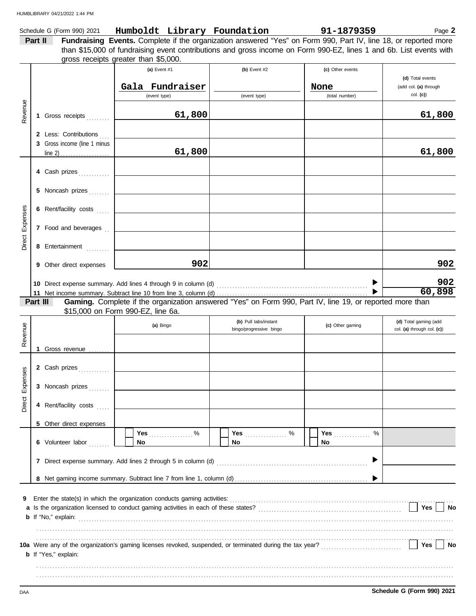|                        |          | Schedule G (Form 990) 2021   |                                                                                                                    | Humboldt Library Foundation | 91-1879359                                                                                               | Page 2                             |
|------------------------|----------|------------------------------|--------------------------------------------------------------------------------------------------------------------|-----------------------------|----------------------------------------------------------------------------------------------------------|------------------------------------|
|                        | Part II  |                              | Fundraising Events. Complete if the organization answered "Yes" on Form 990, Part IV, line 18, or reported more    |                             |                                                                                                          |                                    |
|                        |          |                              | than \$15,000 of fundraising event contributions and gross income on Form 990-EZ, lines 1 and 6b. List events with |                             |                                                                                                          |                                    |
|                        |          |                              | gross receipts greater than \$5,000.                                                                               |                             |                                                                                                          |                                    |
|                        |          |                              | (a) Event #1                                                                                                       | (b) Event $#2$              | (c) Other events                                                                                         |                                    |
|                        |          |                              |                                                                                                                    |                             |                                                                                                          | (d) Total events                   |
|                        |          |                              | Gala Fundraiser                                                                                                    |                             | None                                                                                                     | (add col. (a) through              |
|                        |          |                              | (event type)                                                                                                       | (event type)                | (total number)                                                                                           | col. (c)                           |
| Revenue                |          |                              |                                                                                                                    |                             |                                                                                                          |                                    |
|                        |          | 1 Gross receipts             | 61,800                                                                                                             |                             |                                                                                                          | 61,800                             |
|                        |          |                              |                                                                                                                    |                             |                                                                                                          |                                    |
|                        |          | 2 Less: Contributions        |                                                                                                                    |                             |                                                                                                          |                                    |
|                        |          | 3 Gross income (line 1 minus |                                                                                                                    |                             |                                                                                                          |                                    |
|                        |          |                              | 61,800                                                                                                             |                             |                                                                                                          | 61,800                             |
|                        |          |                              |                                                                                                                    |                             |                                                                                                          |                                    |
|                        |          | 4 Cash prizes                |                                                                                                                    |                             |                                                                                                          |                                    |
|                        |          |                              |                                                                                                                    |                             |                                                                                                          |                                    |
|                        |          |                              |                                                                                                                    |                             |                                                                                                          |                                    |
|                        |          |                              |                                                                                                                    |                             |                                                                                                          |                                    |
|                        |          |                              |                                                                                                                    |                             |                                                                                                          |                                    |
| <b>Direct Expenses</b> |          |                              |                                                                                                                    |                             |                                                                                                          |                                    |
|                        |          | 7 Food and beverages [11]    |                                                                                                                    |                             |                                                                                                          |                                    |
|                        |          |                              |                                                                                                                    |                             |                                                                                                          |                                    |
|                        |          | 8 Entertainment              |                                                                                                                    |                             |                                                                                                          |                                    |
|                        |          |                              |                                                                                                                    |                             |                                                                                                          |                                    |
|                        |          | 9 Other direct expenses      | 902                                                                                                                |                             |                                                                                                          | 902                                |
|                        |          |                              |                                                                                                                    |                             |                                                                                                          |                                    |
|                        |          |                              |                                                                                                                    |                             |                                                                                                          | 902                                |
|                        |          |                              |                                                                                                                    |                             |                                                                                                          | 60,898                             |
|                        |          |                              |                                                                                                                    |                             |                                                                                                          |                                    |
|                        | Part III |                              |                                                                                                                    |                             | Gaming. Complete if the organization answered "Yes" on Form 990, Part IV, line 19, or reported more than |                                    |
|                        |          |                              | \$15,000 on Form 990-EZ, line 6a.                                                                                  |                             |                                                                                                          |                                    |
|                        |          |                              | (a) Bingo                                                                                                          | (b) Pull tabs/instant       | (c) Other gaming                                                                                         | (d) Total gaming (add              |
|                        |          |                              |                                                                                                                    | bingo/progressive bingo     |                                                                                                          | col. (a) through col. (c))         |
| Revenue                |          |                              |                                                                                                                    |                             |                                                                                                          |                                    |
|                        |          | Gross revenue                |                                                                                                                    |                             |                                                                                                          |                                    |
|                        |          |                              |                                                                                                                    |                             |                                                                                                          |                                    |
|                        |          | 2 Cash prizes                |                                                                                                                    |                             |                                                                                                          |                                    |
| ses                    |          |                              |                                                                                                                    |                             |                                                                                                          |                                    |
| Expen                  |          | 3 Noncash prizes             |                                                                                                                    |                             |                                                                                                          |                                    |
|                        |          |                              |                                                                                                                    |                             |                                                                                                          |                                    |
| Direct                 |          | 4 Rent/facility costs        |                                                                                                                    |                             |                                                                                                          |                                    |
|                        |          |                              |                                                                                                                    |                             |                                                                                                          |                                    |
|                        |          | 5 Other direct expenses      |                                                                                                                    |                             |                                                                                                          |                                    |
|                        |          |                              | Yes %                                                                                                              | Yes  %                      | Yes <b>Market</b><br>%                                                                                   |                                    |
|                        |          | 6 Volunteer labor            | No                                                                                                                 | No.                         | No                                                                                                       |                                    |
|                        |          |                              |                                                                                                                    |                             |                                                                                                          |                                    |
|                        |          |                              |                                                                                                                    |                             |                                                                                                          |                                    |
|                        |          |                              |                                                                                                                    |                             |                                                                                                          |                                    |
|                        |          |                              |                                                                                                                    |                             |                                                                                                          |                                    |
|                        |          |                              |                                                                                                                    |                             |                                                                                                          |                                    |
| 9                      |          |                              |                                                                                                                    |                             |                                                                                                          |                                    |
|                        |          |                              |                                                                                                                    |                             |                                                                                                          | $\vert$   Yes $\vert$<br><b>No</b> |
|                        |          |                              |                                                                                                                    |                             |                                                                                                          |                                    |
|                        |          |                              |                                                                                                                    |                             |                                                                                                          |                                    |
|                        |          |                              |                                                                                                                    |                             |                                                                                                          |                                    |
|                        |          | <b>b</b> If "Yes," explain:  | 10a Were any of the organization's gaming licenses revoked, suspended, or terminated during the tax year?<br>L     |                             |                                                                                                          | Yes  <br><b>No</b>                 |

. . . . . . . . . . . . . . . . . . . . . . . . . . . . . . . . . . . . . . . . . . . . . . . . . . . . . . . . . . . . . . . . . . . . . . . . . . . . . . . . . . . . . . . . . . . . . . . . . . . . . . . . . . . . . . . . . . . . . . . . . . . . . . . . . . . . . . . . . . . . . . . . . . . . . . . . . . . . . . . . . . . . . . . . . . . . . . . . . . . . . . . . . . . . . . . . . . . . . . . . . . . . . . . . . . . . . . . . . . . . . . . . . . . . . . . . . . . . . . . . . . . . . . . . . . . . . . . . . . . . . . . . . . . . . . . . . . . . . . . . . . . . . . . . . . . . . . . . . . . . . . . . . . . . . . . . . . . . . . . .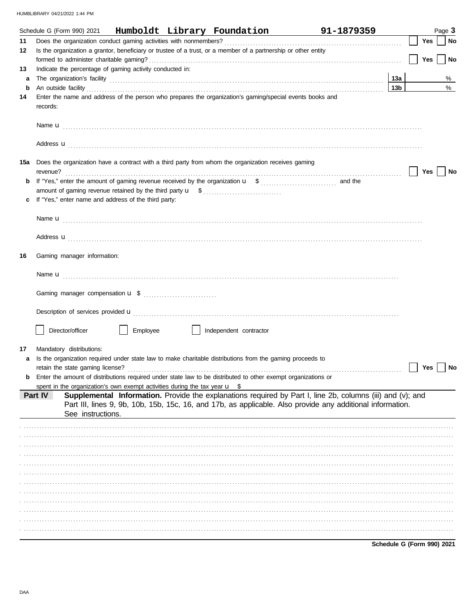|    |                                  |                   |                                                                                       |                        | Schedule G (Form 990) 2021 Humboldt Library Foundation                                                                                                                                                                               | 91-1879359 |                            |            | Page 3 |           |
|----|----------------------------------|-------------------|---------------------------------------------------------------------------------------|------------------------|--------------------------------------------------------------------------------------------------------------------------------------------------------------------------------------------------------------------------------------|------------|----------------------------|------------|--------|-----------|
| 11 |                                  |                   |                                                                                       |                        |                                                                                                                                                                                                                                      |            |                            | <b>Yes</b> |        | <b>No</b> |
| 12 |                                  |                   |                                                                                       |                        | Is the organization a grantor, beneficiary or trustee of a trust, or a member of a partnership or other entity                                                                                                                       |            |                            |            |        |           |
|    |                                  |                   |                                                                                       |                        |                                                                                                                                                                                                                                      |            |                            | Yes        |        | <b>No</b> |
| 13 |                                  |                   | Indicate the percentage of gaming activity conducted in:                              |                        |                                                                                                                                                                                                                                      |            |                            |            |        |           |
| a  |                                  |                   |                                                                                       |                        |                                                                                                                                                                                                                                      |            | 13а                        |            |        | %         |
| b  |                                  |                   |                                                                                       |                        | An outside facility <b>contained a set of a set of a set of a set of a set of a set of a set of a set of a set of a set of a set of a set of a set of a set of a set of a set of a set of a set of a set of a set of a set of a </b> |            | 13 <sub>b</sub>            |            |        | %         |
| 14 | records:                         |                   |                                                                                       |                        | Enter the name and address of the person who prepares the organization's gaming/special events books and                                                                                                                             |            |                            |            |        |           |
|    |                                  |                   |                                                                                       |                        |                                                                                                                                                                                                                                      |            |                            |            |        |           |
|    |                                  |                   |                                                                                       |                        |                                                                                                                                                                                                                                      |            |                            |            |        |           |
|    |                                  |                   |                                                                                       |                        | 15a Does the organization have a contract with a third party from whom the organization receives gaming                                                                                                                              |            |                            | <b>Yes</b> |        | No        |
| b  |                                  |                   |                                                                                       |                        |                                                                                                                                                                                                                                      |            |                            |            |        |           |
|    |                                  |                   |                                                                                       |                        |                                                                                                                                                                                                                                      |            |                            |            |        |           |
| c  |                                  |                   | If "Yes," enter name and address of the third party:                                  |                        |                                                                                                                                                                                                                                      |            |                            |            |        |           |
|    |                                  |                   |                                                                                       |                        |                                                                                                                                                                                                                                      |            |                            |            |        |           |
|    |                                  |                   |                                                                                       |                        |                                                                                                                                                                                                                                      |            |                            |            |        |           |
|    |                                  |                   |                                                                                       |                        | Address <b>u</b>                                                                                                                                                                                                                     |            |                            |            |        |           |
| 16 | Gaming manager information:      |                   |                                                                                       |                        |                                                                                                                                                                                                                                      |            |                            |            |        |           |
|    |                                  |                   |                                                                                       |                        |                                                                                                                                                                                                                                      |            |                            |            |        |           |
|    |                                  |                   |                                                                                       |                        |                                                                                                                                                                                                                                      |            |                            |            |        |           |
|    |                                  |                   |                                                                                       |                        | Description of services provided <b>u</b> electron contract that the contract of the contract of the contract of the contract of the contract of the contract of the contract of the contract of the contract of the contract of th  |            |                            |            |        |           |
|    | Director/officer                 |                   | Employee                                                                              | Independent contractor |                                                                                                                                                                                                                                      |            |                            |            |        |           |
| 17 | Mandatory distributions:         |                   |                                                                                       |                        |                                                                                                                                                                                                                                      |            |                            |            |        |           |
| a  |                                  |                   |                                                                                       |                        | Is the organization required under state law to make charitable distributions from the gaming proceeds to                                                                                                                            |            |                            |            |        |           |
|    | retain the state gaming license? |                   |                                                                                       |                        |                                                                                                                                                                                                                                      |            |                            | Yes        |        | No        |
| b  |                                  |                   |                                                                                       |                        | Enter the amount of distributions required under state law to be distributed to other exempt organizations or                                                                                                                        |            |                            |            |        |           |
|    |                                  |                   | spent in the organization's own exempt activities during the tax year $\mathbf{u}$ \$ |                        |                                                                                                                                                                                                                                      |            |                            |            |        |           |
|    | Part IV                          | See instructions. |                                                                                       |                        | Supplemental Information. Provide the explanations required by Part I, line 2b, columns (iii) and (v); and<br>Part III, lines 9, 9b, 10b, 15b, 15c, 16, and 17b, as applicable. Also provide any additional information.             |            |                            |            |        |           |
|    |                                  |                   |                                                                                       |                        |                                                                                                                                                                                                                                      |            |                            |            |        |           |
|    |                                  |                   |                                                                                       |                        |                                                                                                                                                                                                                                      |            |                            |            |        |           |
|    |                                  |                   |                                                                                       |                        |                                                                                                                                                                                                                                      |            |                            |            |        |           |
|    |                                  |                   |                                                                                       |                        |                                                                                                                                                                                                                                      |            |                            |            |        |           |
|    |                                  |                   |                                                                                       |                        |                                                                                                                                                                                                                                      |            |                            |            |        |           |
|    |                                  |                   |                                                                                       |                        |                                                                                                                                                                                                                                      |            |                            |            |        |           |
|    |                                  |                   |                                                                                       |                        |                                                                                                                                                                                                                                      |            |                            |            |        |           |
|    |                                  |                   |                                                                                       |                        |                                                                                                                                                                                                                                      |            |                            |            |        |           |
|    |                                  |                   |                                                                                       |                        |                                                                                                                                                                                                                                      |            |                            |            |        |           |
|    |                                  |                   |                                                                                       |                        |                                                                                                                                                                                                                                      |            |                            |            |        |           |
|    |                                  |                   |                                                                                       |                        |                                                                                                                                                                                                                                      |            |                            |            |        |           |
|    |                                  |                   |                                                                                       |                        |                                                                                                                                                                                                                                      |            |                            |            |        |           |
|    |                                  |                   |                                                                                       |                        |                                                                                                                                                                                                                                      |            | Schedule G (Form 990) 2021 |            |        |           |

DAA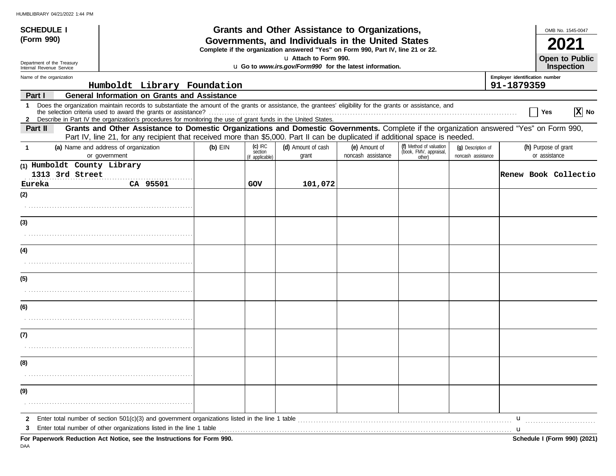| <b>SCHEDULE I</b>                                      |                                                                                                                                                                                                                                                                               |                                                                                                                                       |                      | Grants and Other Assistance to Organizations, |                                     |                                                   |                                          |                              | OMB No. 1545-0047                     |
|--------------------------------------------------------|-------------------------------------------------------------------------------------------------------------------------------------------------------------------------------------------------------------------------------------------------------------------------------|---------------------------------------------------------------------------------------------------------------------------------------|----------------------|-----------------------------------------------|-------------------------------------|---------------------------------------------------|------------------------------------------|------------------------------|---------------------------------------|
| (Form 990)                                             |                                                                                                                                                                                                                                                                               | Governments, and Individuals in the United States<br>Complete if the organization answered "Yes" on Form 990, Part IV, line 21 or 22. |                      |                                               |                                     |                                                   |                                          |                              |                                       |
| Department of the Treasury<br>Internal Revenue Service | La Attach to Form 990.<br>u Go to www.irs.gov/Form990 for the latest information.                                                                                                                                                                                             |                                                                                                                                       |                      |                                               |                                     |                                                   |                                          | Open to Public<br>Inspection |                                       |
| Name of the organization                               |                                                                                                                                                                                                                                                                               |                                                                                                                                       |                      |                                               | Employer identification number      |                                                   |                                          |                              |                                       |
|                                                        | Humboldt Library Foundation                                                                                                                                                                                                                                                   |                                                                                                                                       |                      |                                               |                                     |                                                   |                                          | 91-1879359                   |                                       |
| Part I                                                 | <b>General Information on Grants and Assistance</b>                                                                                                                                                                                                                           |                                                                                                                                       |                      |                                               |                                     |                                                   |                                          |                              |                                       |
| 1                                                      | Does the organization maintain records to substantiate the amount of the grants or assistance, the grantees' eligibility for the grants or assistance, and<br>2 Describe in Part IV the organization's procedures for monitoring the use of grant funds in the United States. |                                                                                                                                       |                      |                                               |                                     |                                                   |                                          |                              | $ \overline{X} $ No<br>│ Yes          |
| Part II                                                | Grants and Other Assistance to Domestic Organizations and Domestic Governments. Complete if the organization answered "Yes" on Form 990,                                                                                                                                      |                                                                                                                                       |                      |                                               |                                     |                                                   |                                          |                              |                                       |
|                                                        | Part IV, line 21, for any recipient that received more than \$5,000. Part II can be duplicated if additional space is needed.                                                                                                                                                 |                                                                                                                                       |                      |                                               |                                     |                                                   |                                          |                              |                                       |
| -1                                                     | (a) Name and address of organization<br>or government                                                                                                                                                                                                                         | $(b)$ EIN                                                                                                                             | $(c)$ IRC<br>section | (d) Amount of cash<br>grant                   | (e) Amount of<br>noncash assistance | (f) Method of valuation<br>(book, FMV, appraisal, | (q) Description of<br>noncash assistance |                              | (h) Purpose of grant<br>or assistance |
| (1) Humboldt County Library                            |                                                                                                                                                                                                                                                                               |                                                                                                                                       | (if applicable)      |                                               |                                     | other)                                            |                                          |                              |                                       |
| 1313 3rd Street                                        |                                                                                                                                                                                                                                                                               |                                                                                                                                       |                      |                                               |                                     |                                                   |                                          |                              | <b>Renew Book Collectio</b>           |
| Eureka                                                 | CA 95501                                                                                                                                                                                                                                                                      |                                                                                                                                       | GOV                  | 101,072                                       |                                     |                                                   |                                          |                              |                                       |
| (2)                                                    |                                                                                                                                                                                                                                                                               |                                                                                                                                       |                      |                                               |                                     |                                                   |                                          |                              |                                       |
|                                                        |                                                                                                                                                                                                                                                                               |                                                                                                                                       |                      |                                               |                                     |                                                   |                                          |                              |                                       |
|                                                        |                                                                                                                                                                                                                                                                               |                                                                                                                                       |                      |                                               |                                     |                                                   |                                          |                              |                                       |
| (3)                                                    |                                                                                                                                                                                                                                                                               |                                                                                                                                       |                      |                                               |                                     |                                                   |                                          |                              |                                       |
|                                                        |                                                                                                                                                                                                                                                                               |                                                                                                                                       |                      |                                               |                                     |                                                   |                                          |                              |                                       |
| (4)                                                    |                                                                                                                                                                                                                                                                               |                                                                                                                                       |                      |                                               |                                     |                                                   |                                          |                              |                                       |
|                                                        |                                                                                                                                                                                                                                                                               |                                                                                                                                       |                      |                                               |                                     |                                                   |                                          |                              |                                       |
| (5)                                                    |                                                                                                                                                                                                                                                                               |                                                                                                                                       |                      |                                               |                                     |                                                   |                                          |                              |                                       |
|                                                        |                                                                                                                                                                                                                                                                               |                                                                                                                                       |                      |                                               |                                     |                                                   |                                          |                              |                                       |
| (6)                                                    |                                                                                                                                                                                                                                                                               |                                                                                                                                       |                      |                                               |                                     |                                                   |                                          |                              |                                       |
|                                                        |                                                                                                                                                                                                                                                                               |                                                                                                                                       |                      |                                               |                                     |                                                   |                                          |                              |                                       |
| (7)                                                    |                                                                                                                                                                                                                                                                               |                                                                                                                                       |                      |                                               |                                     |                                                   |                                          |                              |                                       |
|                                                        |                                                                                                                                                                                                                                                                               |                                                                                                                                       |                      |                                               |                                     |                                                   |                                          |                              |                                       |
| (8)                                                    |                                                                                                                                                                                                                                                                               |                                                                                                                                       |                      |                                               |                                     |                                                   |                                          |                              |                                       |
|                                                        |                                                                                                                                                                                                                                                                               |                                                                                                                                       |                      |                                               |                                     |                                                   |                                          |                              |                                       |
| (9)                                                    |                                                                                                                                                                                                                                                                               |                                                                                                                                       |                      |                                               |                                     |                                                   |                                          |                              |                                       |
|                                                        |                                                                                                                                                                                                                                                                               |                                                                                                                                       |                      |                                               |                                     |                                                   |                                          |                              |                                       |
| 2<br>3                                                 | Enter total number of section $501(c)(3)$ and government organizations listed in the line 1 table<br>Enter total number of other organizations listed in the line 1 table                                                                                                     |                                                                                                                                       |                      |                                               |                                     |                                                   |                                          | u<br>u                       |                                       |
|                                                        | For Paperwork Reduction Act Notice, see the Instructions for Form 990.                                                                                                                                                                                                        |                                                                                                                                       |                      |                                               |                                     |                                                   |                                          |                              | Schedule I (Form 990) (2021)          |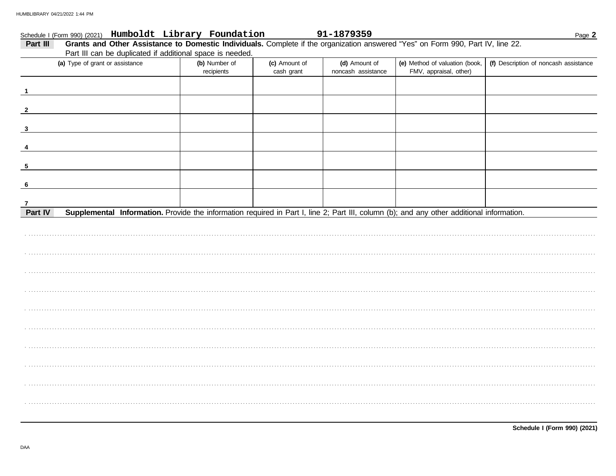| Schedule I (Form 990) (2021) Humboldt Library Foundation                                                                                             |                             |                             | 91-1879359                          |                                                          | Page 2                                |
|------------------------------------------------------------------------------------------------------------------------------------------------------|-----------------------------|-----------------------------|-------------------------------------|----------------------------------------------------------|---------------------------------------|
| Grants and Other Assistance to Domestic Individuals. Complete if the organization answered "Yes" on Form 990, Part IV, line 22.<br>Part III          |                             |                             |                                     |                                                          |                                       |
| Part III can be duplicated if additional space is needed.                                                                                            |                             |                             |                                     |                                                          |                                       |
| (a) Type of grant or assistance                                                                                                                      | (b) Number of<br>recipients | (c) Amount of<br>cash grant | (d) Amount of<br>noncash assistance | (e) Method of valuation (book,<br>FMV, appraisal, other) | (f) Description of noncash assistance |
|                                                                                                                                                      |                             |                             |                                     |                                                          |                                       |
| $\mathbf 1$                                                                                                                                          |                             |                             |                                     |                                                          |                                       |
|                                                                                                                                                      |                             |                             |                                     |                                                          |                                       |
| $\overline{2}$                                                                                                                                       |                             |                             |                                     |                                                          |                                       |
|                                                                                                                                                      |                             |                             |                                     |                                                          |                                       |
| $\mathbf{3}$                                                                                                                                         |                             |                             |                                     |                                                          |                                       |
|                                                                                                                                                      |                             |                             |                                     |                                                          |                                       |
|                                                                                                                                                      |                             |                             |                                     |                                                          |                                       |
| 5                                                                                                                                                    |                             |                             |                                     |                                                          |                                       |
|                                                                                                                                                      |                             |                             |                                     |                                                          |                                       |
| 6                                                                                                                                                    |                             |                             |                                     |                                                          |                                       |
|                                                                                                                                                      |                             |                             |                                     |                                                          |                                       |
| $\overline{7}$                                                                                                                                       |                             |                             |                                     |                                                          |                                       |
| Supplemental Information. Provide the information required in Part I, line 2; Part III, column (b); and any other additional information.<br>Part IV |                             |                             |                                     |                                                          |                                       |
|                                                                                                                                                      |                             |                             |                                     |                                                          |                                       |
|                                                                                                                                                      |                             |                             |                                     |                                                          |                                       |
|                                                                                                                                                      |                             |                             |                                     |                                                          |                                       |
|                                                                                                                                                      |                             |                             |                                     |                                                          |                                       |
|                                                                                                                                                      |                             |                             |                                     |                                                          |                                       |
|                                                                                                                                                      |                             |                             |                                     |                                                          |                                       |
|                                                                                                                                                      |                             |                             |                                     |                                                          |                                       |
|                                                                                                                                                      |                             |                             |                                     |                                                          |                                       |
|                                                                                                                                                      |                             |                             |                                     |                                                          |                                       |
|                                                                                                                                                      |                             |                             |                                     |                                                          |                                       |
|                                                                                                                                                      |                             |                             |                                     |                                                          |                                       |
|                                                                                                                                                      |                             |                             |                                     |                                                          |                                       |
|                                                                                                                                                      |                             |                             |                                     |                                                          |                                       |
|                                                                                                                                                      |                             |                             |                                     |                                                          |                                       |
|                                                                                                                                                      |                             |                             |                                     |                                                          |                                       |
|                                                                                                                                                      |                             |                             |                                     |                                                          |                                       |
|                                                                                                                                                      |                             |                             |                                     |                                                          |                                       |
|                                                                                                                                                      |                             |                             |                                     |                                                          |                                       |
|                                                                                                                                                      |                             |                             |                                     |                                                          |                                       |
|                                                                                                                                                      |                             |                             |                                     |                                                          |                                       |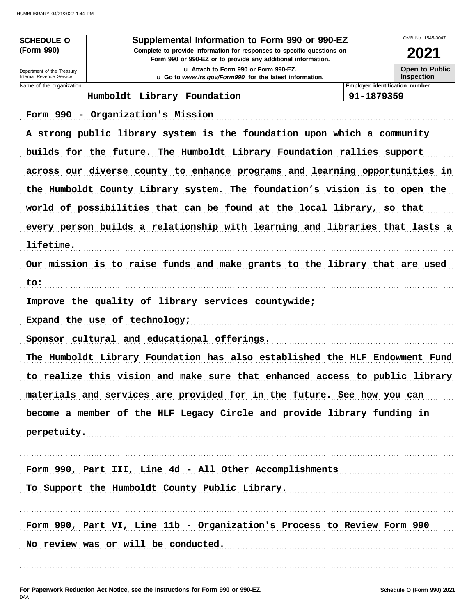| <b>SCHEDULE O</b>                                      | Supplemental Information to Form 990 or 990-EZ                                                                                         |                                | OMB No. 1545-0047                   |
|--------------------------------------------------------|----------------------------------------------------------------------------------------------------------------------------------------|--------------------------------|-------------------------------------|
| (Form 990)                                             | Complete to provide information for responses to specific questions on<br>Form 990 or 990-EZ or to provide any additional information. |                                | 2021                                |
| Department of the Treasury<br>Internal Revenue Service | La Attach to Form 990 or Form 990-EZ.<br>u Go to www.irs.gov/Form990 for the latest information.                                       |                                | Open to Public<br><b>Inspection</b> |
| Name of the organization                               |                                                                                                                                        | Employer identification number |                                     |
|                                                        | Humboldt Library Foundation                                                                                                            | 91-1879359                     |                                     |
|                                                        | Form 990 - Organization's Mission                                                                                                      |                                |                                     |
|                                                        | A strong public library system is the foundation upon which a community                                                                |                                |                                     |
|                                                        | builds for the future. The Humboldt Library Foundation rallies support                                                                 |                                |                                     |
|                                                        | across our diverse county to enhance programs and learning opportunities in                                                            |                                |                                     |
|                                                        | the Humboldt County Library system. The foundation's vision is to open the                                                             |                                |                                     |
|                                                        | world of possibilities that can be found at the local library, so that                                                                 |                                |                                     |
|                                                        | every person builds a relationship with learning and libraries that lasts a                                                            |                                |                                     |
| lifetime.                                              |                                                                                                                                        |                                |                                     |
|                                                        | Our mission is to raise funds and make grants to the library that are used                                                             |                                |                                     |
| to:                                                    |                                                                                                                                        |                                |                                     |
|                                                        | Improve the quality of library services countywide;                                                                                    |                                |                                     |
|                                                        | Expand the use of technology;                                                                                                          |                                |                                     |
|                                                        | Sponsor cultural and educational offerings.                                                                                            |                                |                                     |
|                                                        | The Humboldt Library Foundation has also established the HLF Endowment Fund                                                            |                                |                                     |
|                                                        | to realize this vision and make sure that enhanced access to public library                                                            |                                |                                     |
|                                                        | materials and services are provided for in the future. See how you can                                                                 |                                |                                     |
|                                                        | become a member of the HLF Legacy Circle and provide library funding in                                                                |                                |                                     |
|                                                        | perpetuity.                                                                                                                            |                                |                                     |
|                                                        |                                                                                                                                        |                                |                                     |
|                                                        | Form 990, Part III, Line 4d - All Other Accomplishments                                                                                |                                |                                     |
|                                                        | To Support the Humboldt County Public Library.                                                                                         |                                |                                     |
|                                                        | Form 990, Part VI, Line 11b - Organization's Process to Review Form 990                                                                |                                |                                     |
|                                                        | No review was or will be conducted.                                                                                                    |                                |                                     |
|                                                        |                                                                                                                                        |                                |                                     |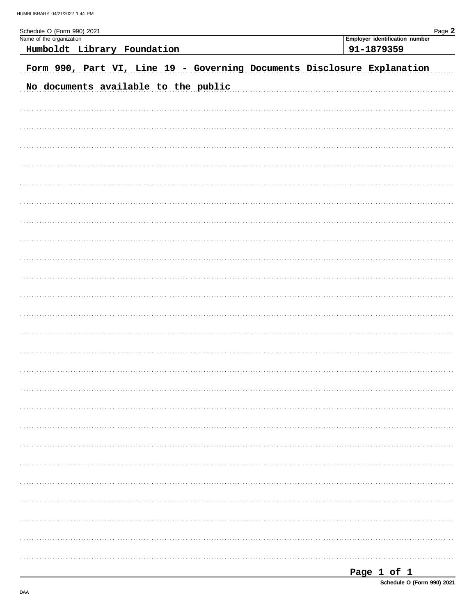| Schedule O (Form 990) 2021                                              | Page 2                         |
|-------------------------------------------------------------------------|--------------------------------|
| Name of the organization                                                | Employer identification number |
| Humboldt Library Foundation                                             | 91-1879359                     |
| Form 990, Part VI, Line 19 - Governing Documents Disclosure Explanation |                                |
| No documents available to the public                                    |                                |
|                                                                         |                                |
|                                                                         |                                |
|                                                                         |                                |
|                                                                         |                                |
|                                                                         |                                |
|                                                                         |                                |
|                                                                         |                                |
|                                                                         |                                |
|                                                                         |                                |
|                                                                         |                                |
|                                                                         |                                |
|                                                                         |                                |
|                                                                         |                                |
|                                                                         |                                |
|                                                                         |                                |
|                                                                         |                                |
|                                                                         |                                |
|                                                                         |                                |
|                                                                         |                                |
|                                                                         |                                |
|                                                                         |                                |
|                                                                         |                                |
|                                                                         |                                |
|                                                                         |                                |
|                                                                         |                                |